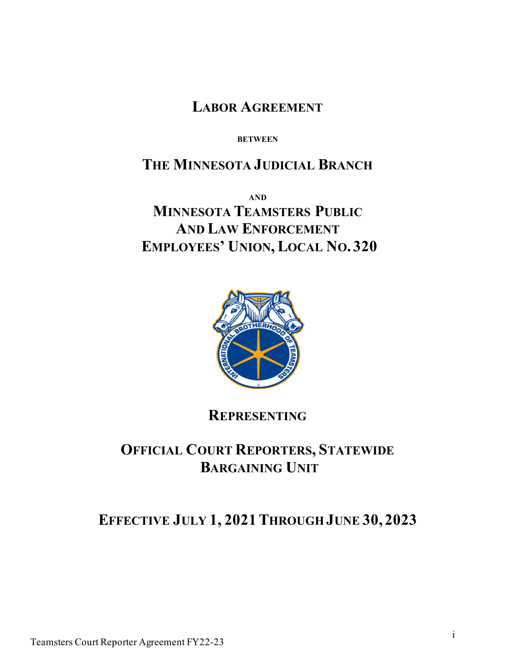**LABOR AGREEMENT**

**BETWEEN** 

# **THE MINNESOTA JUDICIAL BRANCH**

**AND MINNESOTA TEAMSTERS PUBLIC AND LAW ENFORCEMENT EMPLOYEES' UNION, LOCAL NO. 320**



# **REPRESENTING**

# **OFFICIAL COURT REPORTERS, STATEWIDE BARGAINING UNIT**

# **EFFECTIVE JULY 1, 2021THROUGH JUNE 30, 2023**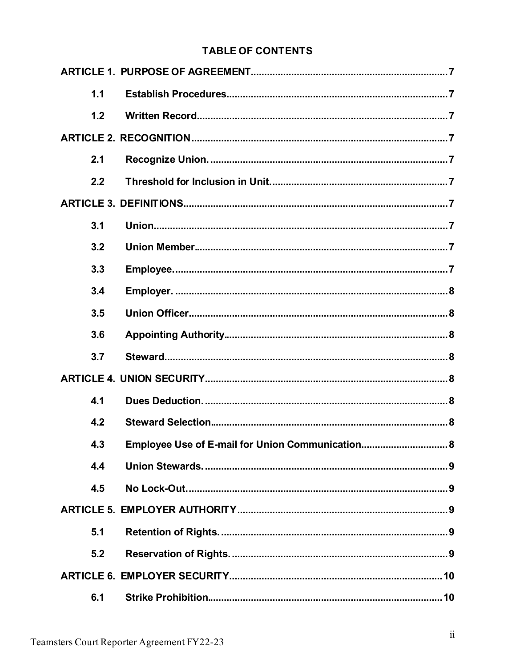# **TABLE OF CONTENTS**

| 1.1 |                                                  |
|-----|--------------------------------------------------|
| 1.2 |                                                  |
|     |                                                  |
| 2.1 |                                                  |
| 2.2 |                                                  |
|     |                                                  |
| 3.1 |                                                  |
| 3.2 |                                                  |
| 3.3 |                                                  |
| 3.4 |                                                  |
| 3.5 |                                                  |
| 3.6 |                                                  |
| 3.7 |                                                  |
|     |                                                  |
| 4.1 |                                                  |
| 4.2 |                                                  |
| 4.3 | Employee Use of E-mail for Union Communication 8 |
| 4.4 |                                                  |
| 4.5 |                                                  |
|     |                                                  |
| 5.1 |                                                  |
| 5.2 |                                                  |
|     |                                                  |
| 6.1 |                                                  |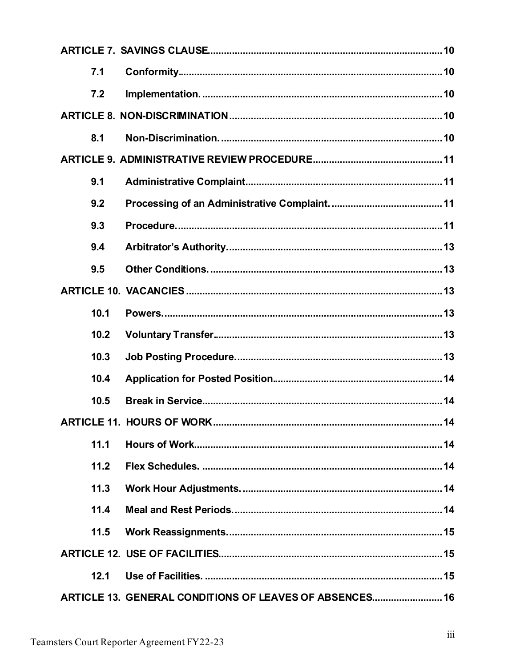| 7.1  |                                                         |  |
|------|---------------------------------------------------------|--|
| 7.2  |                                                         |  |
|      |                                                         |  |
| 8.1  |                                                         |  |
|      |                                                         |  |
| 9.1  |                                                         |  |
| 9.2  |                                                         |  |
| 9.3  |                                                         |  |
| 9.4  |                                                         |  |
| 9.5  |                                                         |  |
|      |                                                         |  |
| 10.1 |                                                         |  |
| 10.2 |                                                         |  |
| 10.3 |                                                         |  |
| 10.4 |                                                         |  |
| 10.5 |                                                         |  |
|      |                                                         |  |
| 11.1 |                                                         |  |
| 11.2 |                                                         |  |
| 11.3 |                                                         |  |
| 11.4 |                                                         |  |
| 11.5 |                                                         |  |
|      |                                                         |  |
| 12.1 |                                                         |  |
|      | ARTICLE 13. GENERAL CONDITIONS OF LEAVES OF ABSENCES 16 |  |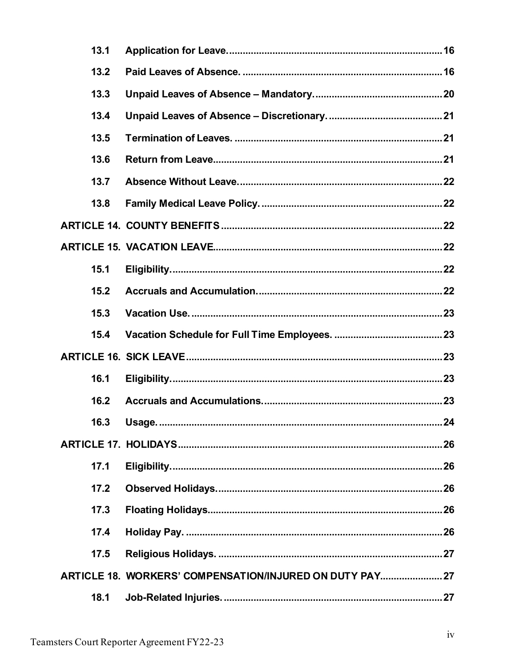| 13.1 |                                                          |
|------|----------------------------------------------------------|
| 13.2 |                                                          |
| 13.3 |                                                          |
| 13.4 |                                                          |
| 13.5 |                                                          |
| 13.6 |                                                          |
| 13.7 |                                                          |
| 13.8 |                                                          |
|      |                                                          |
|      |                                                          |
| 15.1 |                                                          |
| 15.2 |                                                          |
| 15.3 |                                                          |
|      |                                                          |
| 15.4 |                                                          |
|      |                                                          |
| 16.1 |                                                          |
| 16.2 |                                                          |
|      |                                                          |
|      |                                                          |
| 17.1 |                                                          |
| 17.2 |                                                          |
| 17.3 |                                                          |
| 17.4 |                                                          |
| 17.5 |                                                          |
|      | ARTICLE 18. WORKERS' COMPENSATION/INJURED ON DUTY PAY 27 |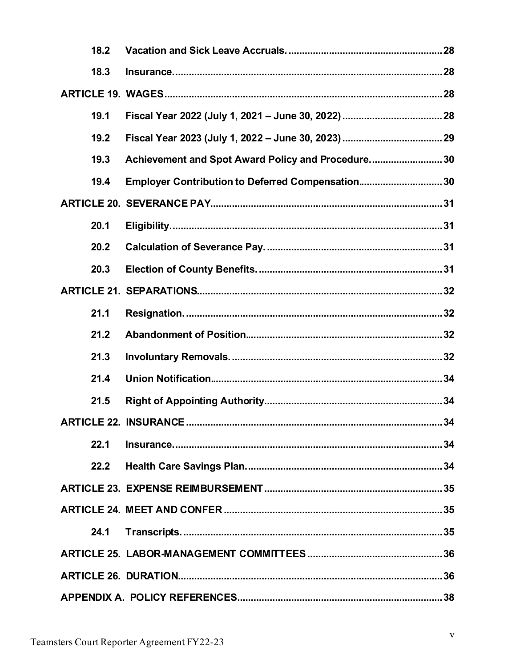| 18.2 |                                                    |
|------|----------------------------------------------------|
| 18.3 |                                                    |
|      |                                                    |
| 19.1 |                                                    |
| 19.2 |                                                    |
| 19.3 | Achievement and Spot Award Policy and Procedure 30 |
| 19.4 | Employer Contribution to Deferred Compensation30   |
|      |                                                    |
| 20.1 |                                                    |
| 20.2 |                                                    |
| 20.3 |                                                    |
|      |                                                    |
| 21.1 |                                                    |
| 21.2 |                                                    |
| 21.3 |                                                    |
| 21.4 |                                                    |
| 21.5 |                                                    |
|      |                                                    |
| 22.1 |                                                    |
|      |                                                    |
|      |                                                    |
|      |                                                    |
| 24.1 |                                                    |
|      |                                                    |
|      |                                                    |
|      |                                                    |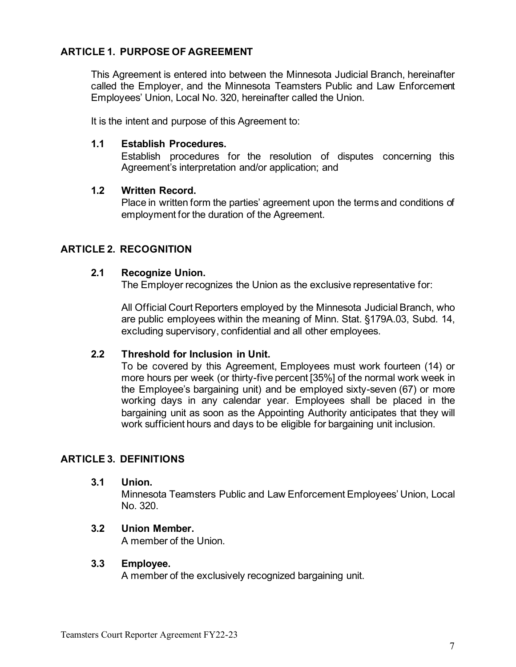## <span id="page-6-0"></span>**ARTICLE 1. PURPOSE OF AGREEMENT**

This Agreement is entered into between the Minnesota Judicial Branch, hereinafter called the Employer, and the Minnesota Teamsters Public and Law Enforcement Employees' Union, Local No. 320, hereinafter called the Union.

It is the intent and purpose of this Agreement to:

#### <span id="page-6-1"></span>**1.1 Establish Procedures.**

Establish procedures for the resolution of disputes concerning this Agreement's interpretation and/or application; and

#### <span id="page-6-2"></span>**1.2 Written Record.**

Place in written form the parties' agreement upon the terms and conditions of employment for the duration of the Agreement.

## <span id="page-6-4"></span><span id="page-6-3"></span>**ARTICLE 2. RECOGNITION**

#### **2.1 Recognize Union.**

The Employer recognizes the Union as the exclusive representative for:

All Official Court Reporters employed by the Minnesota Judicial Branch, who are public employees within the meaning of Minn. Stat. §179A.03, Subd. 14, excluding supervisory, confidential and all other employees.

#### <span id="page-6-5"></span>**2.2 Threshold for Inclusion in Unit.**

To be covered by this Agreement, Employees must work fourteen (14) or more hours per week (or thirty-five percent [35%] of the normal work week in the Employee's bargaining unit) and be employed sixty-seven (67) or more working days in any calendar year. Employees shall be placed in the bargaining unit as soon as the Appointing Authority anticipates that they will work sufficient hours and days to be eligible for bargaining unit inclusion.

#### <span id="page-6-7"></span><span id="page-6-6"></span>**ARTICLE 3. DEFINITIONS**

#### **3.1 Union.**

Minnesota Teamsters Public and Law Enforcement Employees' Union, Local No. 320.

#### <span id="page-6-8"></span>**3.2 Union Member.**

A member of the Union.

#### <span id="page-6-9"></span>**3.3 Employee.**

A member of the exclusively recognized bargaining unit.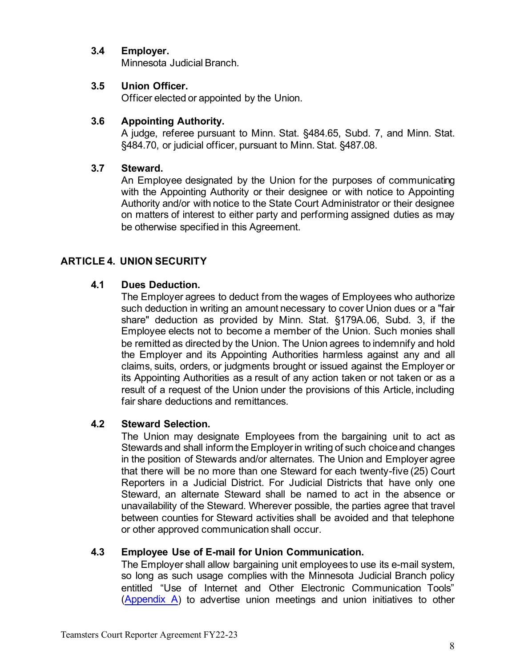## <span id="page-7-0"></span>**3.4 Employer.**

Minnesota Judicial Branch.

## <span id="page-7-1"></span>**3.5 Union Officer.**

Officer elected or appointed by the Union.

## <span id="page-7-2"></span>**3.6 Appointing Authority.**

A judge, referee pursuant to Minn. Stat. §484.65, Subd. 7, and Minn. Stat. §484.70, or judicial officer, pursuant to Minn. Stat. §487.08.

## <span id="page-7-3"></span>**3.7 Steward.**

An Employee designated by the Union for the purposes of communicating with the Appointing Authority or their designee or with notice to Appointing Authority and/or with notice to the State Court Administrator or their designee on matters of interest to either party and performing assigned duties as may be otherwise specified in this Agreement.

# <span id="page-7-5"></span><span id="page-7-4"></span>**ARTICLE 4. UNION SECURITY**

## **4.1 Dues Deduction.**

The Employer agrees to deduct from the wages of Employees who authorize such deduction in writing an amount necessary to cover Union dues or a "fair share" deduction as provided by Minn. Stat. §179A.06, Subd. 3, if the Employee elects not to become a member of the Union. Such monies shall be remitted as directed by the Union. The Union agrees to indemnify and hold the Employer and its Appointing Authorities harmless against any and all claims, suits, orders, or judgments brought or issued against the Employer or its Appointing Authorities as a result of any action taken or not taken or as a result of a request of the Union under the provisions of this Article, including fair share deductions and remittances.

## <span id="page-7-6"></span>**4.2 Steward Selection.**

The Union may designate Employees from the bargaining unit to act as Stewards and shall inform the Employer in writing of such choice and changes in the position of Stewards and/or alternates. The Union and Employer agree that there will be no more than one Steward for each twenty-five (25) Court Reporters in a Judicial District. For Judicial Districts that have only one Steward, an alternate Steward shall be named to act in the absence or unavailability of the Steward. Wherever possible, the parties agree that travel between counties for Steward activities shall be avoided and that telephone or other approved communication shall occur.

## <span id="page-7-7"></span>**4.3 Employee Use of E-mail for Union Communication.**

The Employer shall allow bargaining unit employees to use its e-mail system, so long as such usage complies with the Minnesota Judicial Branch policy entitled "Use of Internet and Other Electronic Communication Tools" [\(Appendix A\)](#page-36-0) to advertise union meetings and union initiatives to other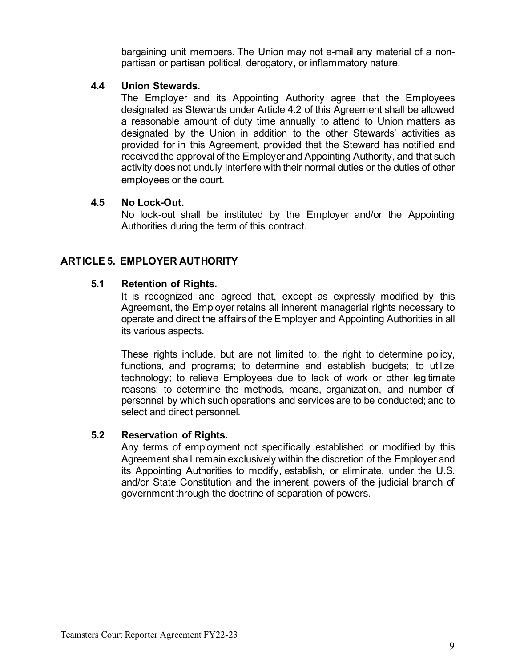bargaining unit members. The Union may not e-mail any material of a nonpartisan or partisan political, derogatory, or inflammatory nature.

## <span id="page-8-0"></span>**4.4 Union Stewards.**

The Employer and its Appointing Authority agree that the Employees designated as Stewards under Article 4.2 of this Agreement shall be allowed a reasonable amount of duty time annually to attend to Union matters as designated by the Union in addition to the other Stewards' activities as provided for in this Agreement, provided that the Steward has notified and received the approval of the Employer and Appointing Authority, and that such activity does not unduly interfere with their normal duties or the duties of other employees or the court.

## <span id="page-8-1"></span>**4.5 No Lock-Out.**

No lock-out shall be instituted by the Employer and/or the Appointing Authorities during the term of this contract.

## <span id="page-8-3"></span><span id="page-8-2"></span>**ARTICLE 5. EMPLOYER AUTHORITY**

## **5.1 Retention of Rights.**

It is recognized and agreed that, except as expressly modified by this Agreement, the Employer retains all inherent managerial rights necessary to operate and direct the affairs of the Employer and Appointing Authorities in all its various aspects.

These rights include, but are not limited to, the right to determine policy, functions, and programs; to determine and establish budgets; to utilize technology; to relieve Employees due to lack of work or other legitimate reasons; to determine the methods, means, organization, and number of personnel by which such operations and services are to be conducted; and to select and direct personnel*.*

#### <span id="page-8-4"></span>**5.2 Reservation of Rights.**

Any terms of employment not specifically established or modified by this Agreement shall remain exclusively within the discretion of the Employer and its Appointing Authorities to modify, establish, or eliminate, under the U.S. and/or State Constitution and the inherent powers of the judicial branch of government through the doctrine of separation of powers.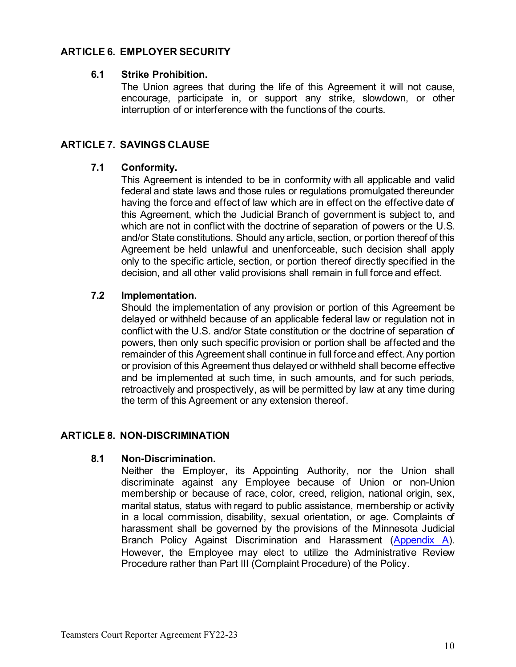## <span id="page-9-1"></span><span id="page-9-0"></span>**ARTICLE 6. EMPLOYER SECURITY**

#### **6.1 Strike Prohibition.**

The Union agrees that during the life of this Agreement it will not cause, encourage, participate in, or support any strike, slowdown, or other interruption of or interference with the functions of the courts.

## <span id="page-9-3"></span><span id="page-9-2"></span>**ARTICLE 7. SAVINGS CLAUSE**

#### **7.1 Conformity.**

This Agreement is intended to be in conformity with all applicable and valid federal and state laws and those rules or regulations promulgated thereunder having the force and effect of law which are in effect on the effective date of this Agreement, which the Judicial Branch of government is subject to, and which are not in conflict with the doctrine of separation of powers or the U.S. and/or State constitutions. Should any article, section, or portion thereof of this Agreement be held unlawful and unenforceable, such decision shall apply only to the specific article, section, or portion thereof directly specified in the decision, and all other valid provisions shall remain in full force and effect.

#### <span id="page-9-4"></span>**7.2 Implementation.**

Should the implementation of any provision or portion of this Agreement be delayed or withheld because of an applicable federal law or regulation not in conflict with the U.S. and/or State constitution or the doctrine of separation of powers, then only such specific provision or portion shall be affected and the remainder of this Agreement shall continue in full force and effect.Any portion or provision of this Agreement thus delayed or withheld shall become effective and be implemented at such time, in such amounts, and for such periods, retroactively and prospectively, as will be permitted by law at any time during the term of this Agreement or any extension thereof.

#### <span id="page-9-6"></span><span id="page-9-5"></span>**ARTICLE 8. NON-DISCRIMINATION**

#### **8.1 Non-Discrimination.**

<span id="page-9-7"></span>Neither the Employer, its Appointing Authority, nor the Union shall discriminate against any Employee because of Union or non-Union membership or because of race, color, creed, religion, national origin, sex, marital status, status with regard to public assistance, membership or activity in a local commission, disability, sexual orientation, or age. Complaints of harassment shall be governed by the provisions of the Minnesota Judicial Branch Policy Against Discrimination and Harassment [\(Appendix A\)](#page-36-0). However, the Employee may elect to utilize the Administrative Review Procedure rather than Part III (Complaint Procedure) of the Policy.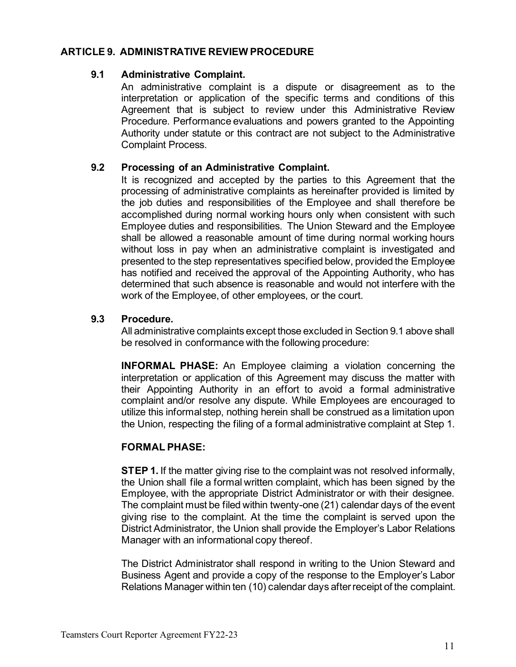#### <span id="page-10-0"></span>**ARTICLE 9. ADMINISTRATIVE REVIEW PROCEDURE**

#### **9.1 Administrative Complaint.**

An administrative complaint is a dispute or disagreement as to the interpretation or application of the specific terms and conditions of this Agreement that is subject to review under this Administrative Review Procedure. Performance evaluations and powers granted to the Appointing Authority under statute or this contract are not subject to the Administrative Complaint Process.

## <span id="page-10-1"></span>**9.2 Processing of an Administrative Complaint.**

It is recognized and accepted by the parties to this Agreement that the processing of administrative complaints as hereinafter provided is limited by the job duties and responsibilities of the Employee and shall therefore be accomplished during normal working hours only when consistent with such Employee duties and responsibilities. The Union Steward and the Employee shall be allowed a reasonable amount of time during normal working hours without loss in pay when an administrative complaint is investigated and presented to the step representatives specified below, provided the Employee has notified and received the approval of the Appointing Authority, who has determined that such absence is reasonable and would not interfere with the work of the Employee, of other employees, or the court.

## <span id="page-10-2"></span>**9.3 Procedure.**

All administrative complaints except those excluded in Section 9.1 above shall be resolved in conformance with the following procedure:

**INFORMAL PHASE:** An Employee claiming a violation concerning the interpretation or application of this Agreement may discuss the matter with their Appointing Authority in an effort to avoid a formal administrative complaint and/or resolve any dispute. While Employees are encouraged to utilize this informal step, nothing herein shall be construed as a limitation upon the Union, respecting the filing of a formal administrative complaint at Step 1.

## **FORMAL PHASE:**

**STEP 1.** If the matter giving rise to the complaint was not resolved informally, the Union shall file a formal written complaint, which has been signed by the Employee, with the appropriate District Administrator or with their designee. The complaint must be filed within twenty-one (21) calendar days of the event giving rise to the complaint. At the time the complaint is served upon the District Administrator, the Union shall provide the Employer's Labor Relations Manager with an informational copy thereof.

The District Administrator shall respond in writing to the Union Steward and Business Agent and provide a copy of the response to the Employer's Labor Relations Manager within ten (10) calendar days after receipt of the complaint.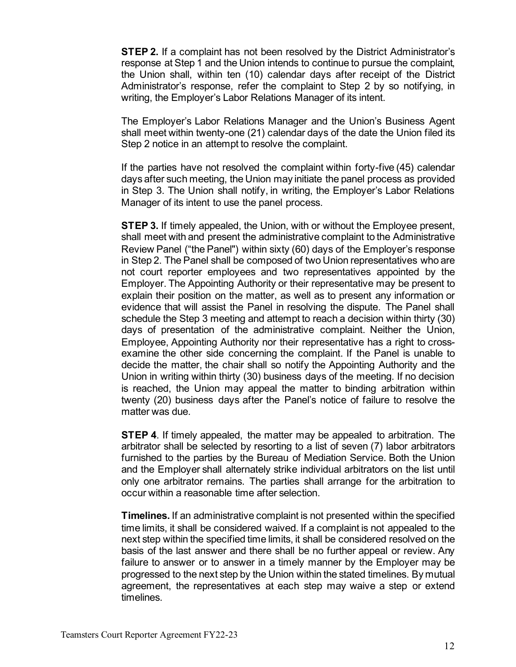**STEP 2.** If a complaint has not been resolved by the District Administrator's response at Step 1 and the Union intends to continue to pursue the complaint, the Union shall, within ten (10) calendar days after receipt of the District Administrator's response, refer the complaint to Step 2 by so notifying, in writing, the Employer's Labor Relations Manager of its intent.

The Employer's Labor Relations Manager and the Union's Business Agent shall meet within twenty-one (21) calendar days of the date the Union filed its Step 2 notice in an attempt to resolve the complaint.

If the parties have not resolved the complaint within forty-five (45) calendar days after such meeting, the Union may initiate the panel process as provided in Step 3. The Union shall notify, in writing, the Employer's Labor Relations Manager of its intent to use the panel process.

**STEP 3.** If timely appealed, the Union, with or without the Employee present, shall meet with and present the administrative complaint to the Administrative Review Panel ("the Panel") within sixty (60) days of the Employer's response in Step 2. The Panel shall be composed of two Union representatives who are not court reporter employees and two representatives appointed by the Employer. The Appointing Authority or their representative may be present to explain their position on the matter, as well as to present any information or evidence that will assist the Panel in resolving the dispute. The Panel shall schedule the Step 3 meeting and attempt to reach a decision within thirty (30) days of presentation of the administrative complaint. Neither the Union, Employee, Appointing Authority nor their representative has a right to crossexamine the other side concerning the complaint. If the Panel is unable to decide the matter, the chair shall so notify the Appointing Authority and the Union in writing within thirty (30) business days of the meeting. If no decision is reached, the Union may appeal the matter to binding arbitration within twenty (20) business days after the Panel's notice of failure to resolve the matter was due.

**STEP 4**. If timely appealed, the matter may be appealed to arbitration. The arbitrator shall be selected by resorting to a list of seven (7) labor arbitrators furnished to the parties by the Bureau of Mediation Service. Both the Union and the Employer shall alternately strike individual arbitrators on the list until only one arbitrator remains. The parties shall arrange for the arbitration to occur within a reasonable time after selection.

**Timelines.** If an administrative complaint is not presented within the specified time limits, it shall be considered waived. If a complaint is not appealed to the next step within the specified time limits, it shall be considered resolved on the basis of the last answer and there shall be no further appeal or review. Any failure to answer or to answer in a timely manner by the Employer may be progressed to the next step by the Union within the stated timelines. By mutual agreement, the representatives at each step may waive a step or extend timelines.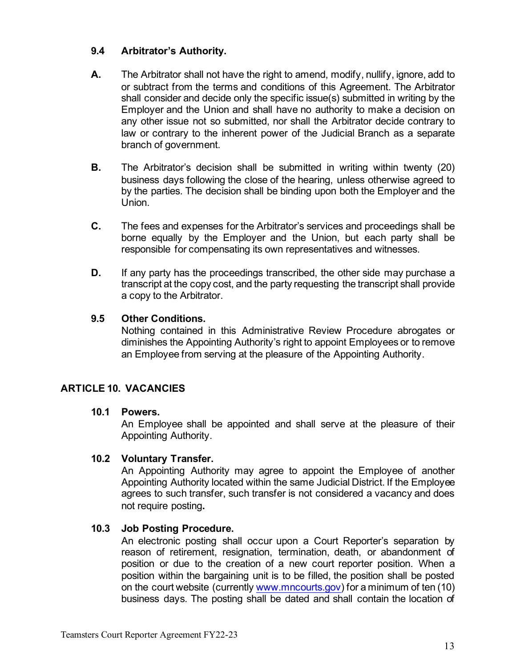## <span id="page-12-0"></span>**9.4 Arbitrator's Authority.**

- **A.** The Arbitrator shall not have the right to amend, modify, nullify, ignore, add to or subtract from the terms and conditions of this Agreement. The Arbitrator shall consider and decide only the specific issue(s) submitted in writing by the Employer and the Union and shall have no authority to make a decision on any other issue not so submitted, nor shall the Arbitrator decide contrary to law or contrary to the inherent power of the Judicial Branch as a separate branch of government.
- **B.** The Arbitrator's decision shall be submitted in writing within twenty (20) business days following the close of the hearing, unless otherwise agreed to by the parties. The decision shall be binding upon both the Employer and the Union.
- **C.** The fees and expenses for the Arbitrator's services and proceedings shall be borne equally by the Employer and the Union, but each party shall be responsible for compensating its own representatives and witnesses.
- **D.** If any party has the proceedings transcribed, the other side may purchase a transcript at the copy cost, and the party requesting the transcript shall provide a copy to the Arbitrator.

## <span id="page-12-1"></span>**9.5 Other Conditions.**

Nothing contained in this Administrative Review Procedure abrogates or diminishes the Appointing Authority's right to appoint Employees or to remove an Employee from serving at the pleasure of the Appointing Authority.

## <span id="page-12-3"></span><span id="page-12-2"></span>**ARTICLE 10. VACANCIES**

#### **10.1 Powers.**

An Employee shall be appointed and shall serve at the pleasure of their Appointing Authority.

#### <span id="page-12-4"></span>**10.2 Voluntary Transfer.**

An Appointing Authority may agree to appoint the Employee of another Appointing Authority located within the same Judicial District. If the Employee agrees to such transfer, such transfer is not considered a vacancy and does not require posting**.**

#### <span id="page-12-5"></span>**10.3 Job Posting Procedure.**

An electronic posting shall occur upon a Court Reporter's separation by reason of retirement, resignation, termination, death, or abandonment of position or due to the creation of a new court reporter position. When a position within the bargaining unit is to be filled, the position shall be posted on the court website (currently [www.mncourts.gov](http://www.mncourts.gov/)) for a minimum of ten (10) business days. The posting shall be dated and shall contain the location of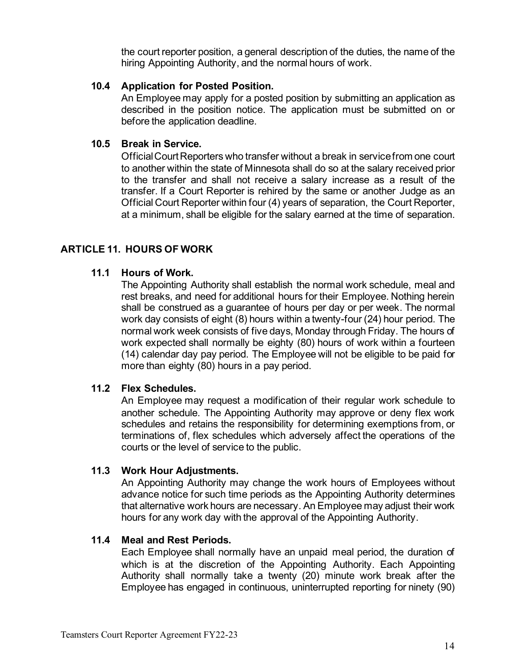the court reporter position, a general description of the duties, the name of the hiring Appointing Authority, and the normal hours of work.

#### <span id="page-13-0"></span>**10.4 Application for Posted Position.**

An Employee may apply for a posted position by submitting an application as described in the position notice. The application must be submitted on or before the application deadline.

## <span id="page-13-1"></span>**10.5 Break in Service.**

Official Court Reporters who transfer without a break in service from one court to another within the state of Minnesota shall do so at the salary received prior to the transfer and shall not receive a salary increase as a result of the transfer. If a Court Reporter is rehired by the same or another Judge as an Official Court Reporter within four (4) years of separation, the Court Reporter, at a minimum, shall be eligible for the salary earned at the time of separation.

## <span id="page-13-3"></span><span id="page-13-2"></span>**ARTICLE 11. HOURS OF WORK**

#### **11.1 Hours of Work.**

The Appointing Authority shall establish the normal work schedule, meal and rest breaks, and need for additional hours for their Employee. Nothing herein shall be construed as a guarantee of hours per day or per week. The normal work day consists of eight (8) hours within a twenty-four (24) hour period. The normal work week consists of five days, Monday through Friday. The hours of work expected shall normally be eighty (80) hours of work within a fourteen (14) calendar day pay period. The Employee will not be eligible to be paid for more than eighty (80) hours in a pay period.

#### <span id="page-13-4"></span>**11.2 Flex Schedules.**

An Employee may request a modification of their regular work schedule to another schedule. The Appointing Authority may approve or deny flex work schedules and retains the responsibility for determining exemptions from, or terminations of, flex schedules which adversely affect the operations of the courts or the level of service to the public.

#### <span id="page-13-5"></span>**11.3 Work Hour Adjustments.**

An Appointing Authority may change the work hours of Employees without advance notice for such time periods as the Appointing Authority determines that alternative work hours are necessary. An Employee may adjust their work hours for any work day with the approval of the Appointing Authority.

#### <span id="page-13-6"></span>**11.4 Meal and Rest Periods.**

Each Employee shall normally have an unpaid meal period, the duration of which is at the discretion of the Appointing Authority. Each Appointing Authority shall normally take a twenty (20) minute work break after the Employee has engaged in continuous, uninterrupted reporting for ninety (90)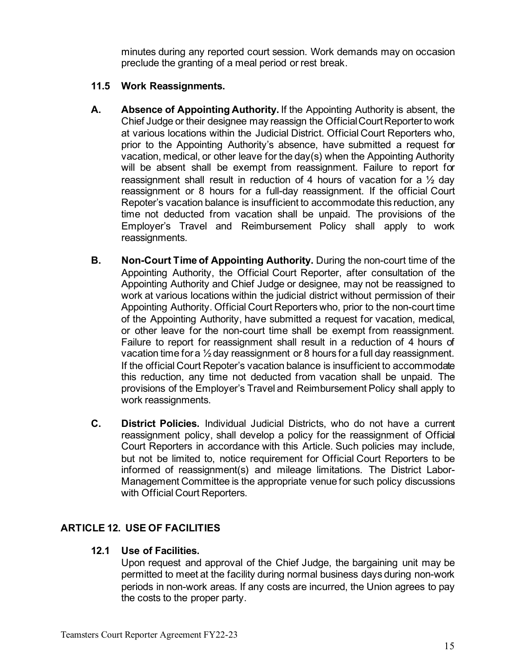minutes during any reported court session. Work demands may on occasion preclude the granting of a meal period or rest break.

## <span id="page-14-0"></span>**11.5 Work Reassignments.**

- **A. Absence of Appointing Authority.** If the Appointing Authority is absent, the Chief Judge or their designee may reassign the Official Court Reporter to work at various locations within the Judicial District. Official Court Reporters who, prior to the Appointing Authority's absence, have submitted a request for vacation, medical, or other leave for the day(s) when the Appointing Authority will be absent shall be exempt from reassignment. Failure to report for reassignment shall result in reduction of 4 hours of vacation for a  $\frac{1}{2}$  day reassignment or 8 hours for a full-day reassignment. If the official Court Repoter's vacation balance is insufficient to accommodate this reduction, any time not deducted from vacation shall be unpaid. The provisions of the Employer's Travel and Reimbursement Policy shall apply to work reassignments.
- **B. Non-Court Time of Appointing Authority.** During the non-court time of the Appointing Authority, the Official Court Reporter, after consultation of the Appointing Authority and Chief Judge or designee, may not be reassigned to work at various locations within the judicial district without permission of their Appointing Authority. Official Court Reporters who, prior to the non-court time of the Appointing Authority, have submitted a request for vacation, medical, or other leave for the non-court time shall be exempt from reassignment. Failure to report for reassignment shall result in a reduction of 4 hours of vacation time for a ½ day reassignment or 8 hours for a full day reassignment. If the official Court Repoter's vacation balance is insufficient to accommodate this reduction, any time not deducted from vacation shall be unpaid. The provisions of the Employer's Travel and Reimbursement Policy shall apply to work reassignments.
- **C. District Policies.** Individual Judicial Districts, who do not have a current reassignment policy, shall develop a policy for the reassignment of Official Court Reporters in accordance with this Article. Such policies may include, but not be limited to, notice requirement for Official Court Reporters to be informed of reassignment(s) and mileage limitations. The District Labor-Management Committee is the appropriate venue for such policy discussions with Official Court Reporters.

## <span id="page-14-2"></span><span id="page-14-1"></span>**ARTICLE 12. USE OF FACILITIES**

#### **12.1 Use of Facilities.**

Upon request and approval of the Chief Judge, the bargaining unit may be permitted to meet at the facility during normal business days during non-work periods in non-work areas. If any costs are incurred, the Union agrees to pay the costs to the proper party.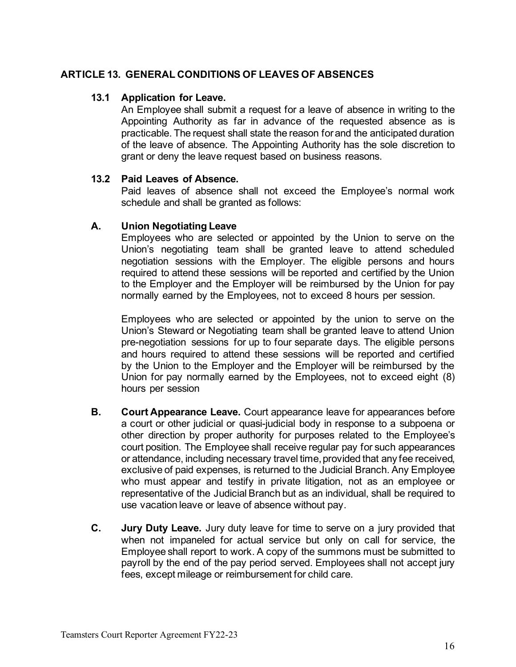#### <span id="page-15-1"></span><span id="page-15-0"></span>**ARTICLE 13. GENERAL CONDITIONS OF LEAVES OF ABSENCES**

#### **13.1 Application for Leave.**

An Employee shall submit a request for a leave of absence in writing to the Appointing Authority as far in advance of the requested absence as is practicable. The request shall state the reason for and the anticipated duration of the leave of absence. The Appointing Authority has the sole discretion to grant or deny the leave request based on business reasons.

#### <span id="page-15-2"></span>**13.2 Paid Leaves of Absence.**

Paid leaves of absence shall not exceed the Employee's normal work schedule and shall be granted as follows:

#### **A. Union Negotiating Leave**

Employees who are selected or appointed by the Union to serve on the Union's negotiating team shall be granted leave to attend scheduled negotiation sessions with the Employer. The eligible persons and hours required to attend these sessions will be reported and certified by the Union to the Employer and the Employer will be reimbursed by the Union for pay normally earned by the Employees, not to exceed 8 hours per session.

Employees who are selected or appointed by the union to serve on the Union's Steward or Negotiating team shall be granted leave to attend Union pre-negotiation sessions for up to four separate days. The eligible persons and hours required to attend these sessions will be reported and certified by the Union to the Employer and the Employer will be reimbursed by the Union for pay normally earned by the Employees, not to exceed eight (8) hours per session

- **B. Court Appearance Leave.** Court appearance leave for appearances before a court or other judicial or quasi-judicial body in response to a subpoena or other direction by proper authority for purposes related to the Employee's court position. The Employee shall receive regular pay for such appearances or attendance, including necessary travel time, provided that any fee received, exclusive of paid expenses, is returned to the Judicial Branch. Any Employee who must appear and testify in private litigation, not as an employee or representative of the Judicial Branch but as an individual, shall be required to use vacation leave or leave of absence without pay.
- **C. Jury Duty Leave.** Jury duty leave for time to serve on a jury provided that when not impaneled for actual service but only on call for service, the Employee shall report to work. A copy of the summons must be submitted to payroll by the end of the pay period served. Employees shall not accept jury fees, except mileage or reimbursement for child care.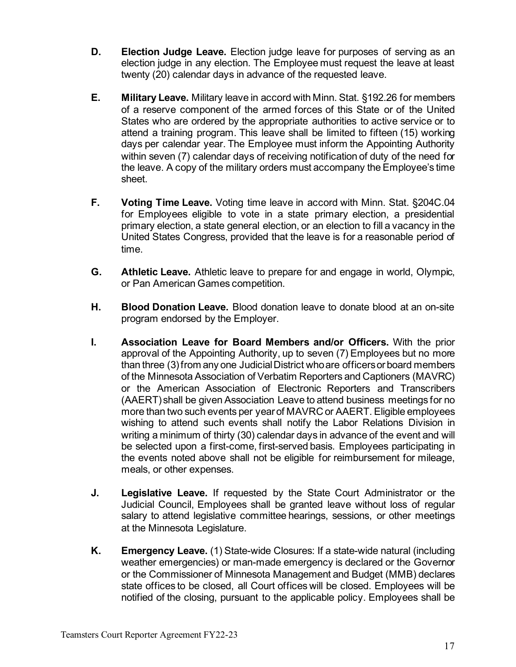- **D. Election Judge Leave.** Election judge leave for purposes of serving as an election judge in any election. The Employee must request the leave at least twenty (20) calendar days in advance of the requested leave.
- **E. Military Leave.** Military leave in accord with Minn. Stat. §192.26 for members of a reserve component of the armed forces of this State or of the United States who are ordered by the appropriate authorities to active service or to attend a training program. This leave shall be limited to fifteen (15) working days per calendar year. The Employee must inform the Appointing Authority within seven (7) calendar days of receiving notification of duty of the need for the leave. A copy of the military orders must accompany the Employee's time sheet.
- **F. Voting Time Leave.** Voting time leave in accord with Minn. Stat. §204C.04 for Employees eligible to vote in a state primary election, a presidential primary election, a state general election, or an election to fill a vacancy in the United States Congress, provided that the leave is for a reasonable period of time.
- **G. Athletic Leave.** Athletic leave to prepare for and engage in world, Olympic, or Pan American Games competition.
- **H. Blood Donation Leave.** Blood donation leave to donate blood at an on-site program endorsed by the Employer.
- **I. Association Leave for Board Members and/or Officers.** With the prior approval of the Appointing Authority, up to seven (7) Employees but no more than three (3) from any one Judicial District who are officers or board members of the Minnesota Association of Verbatim Reporters and Captioners (MAVRC) or the American Association of Electronic Reporters and Transcribers (AAERT) shall be given Association Leave to attend business meetings for no more than two such events per year of MAVRC or AAERT. Eligible employees wishing to attend such events shall notify the Labor Relations Division in writing a minimum of thirty (30) calendar days in advance of the event and will be selected upon a first-come, first-served basis. Employees participating in the events noted above shall not be eligible for reimbursement for mileage, meals, or other expenses.
- **J. Legislative Leave.** If requested by the State Court Administrator or the Judicial Council, Employees shall be granted leave without loss of regular salary to attend legislative committee hearings, sessions, or other meetings at the Minnesota Legislature.
- **K. Emergency Leave.** (1) State-wide Closures: If a state-wide natural (including weather emergencies) or man-made emergency is declared or the Governor or the Commissioner of Minnesota Management and Budget (MMB) declares state offices to be closed, all Court offices will be closed. Employees will be notified of the closing, pursuant to the applicable policy. Employees shall be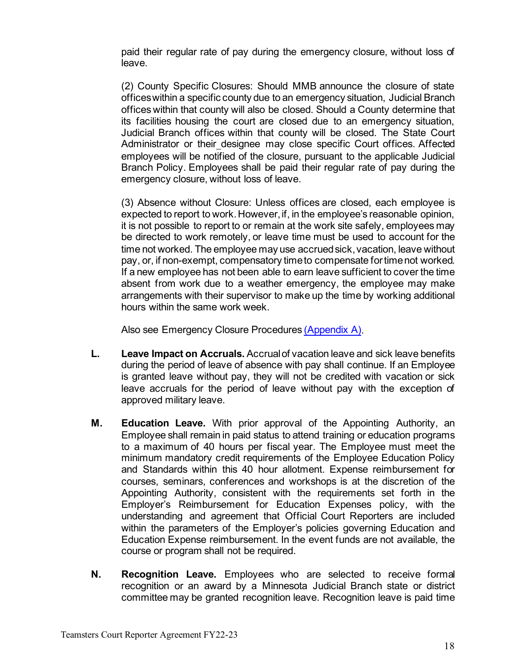paid their regular rate of pay during the emergency closure, without loss of leave.

 (2) County Specific Closures: Should MMB announce the closure of state offices within a specific county due to an emergency situation, Judicial Branch offices within that county will also be closed. Should a County determine that its facilities housing the court are closed due to an emergency situation, Judicial Branch offices within that county will be closed. The State Court Administrator or their designee may close specific Court offices. Affected employees will be notified of the closure, pursuant to the applicable Judicial Branch Policy. Employees shall be paid their regular rate of pay during the emergency closure, without loss of leave.

 (3) Absence without Closure: Unless offices are closed, each employee is expected to report to work. However, if, in the employee's reasonable opinion, it is not possible to report to or remain at the work site safely, employees may be directed to work remotely, or leave time must be used to account for the time not worked. The employee may use accrued sick, vacation, leave without pay, or, if non-exempt, compensatory time to compensate for time not worked. If a new employee has not been able to earn leave sufficient to cover the time absent from work due to a weather emergency, the employee may make arrangements with their supervisor to make up the time by working additional hours within the same work week.

Also see Emergency Closure Procedures [\(Appendix A\).](#page-36-0)

- **L. Leave Impact on Accruals.** Accrual of vacation leave and sick leave benefits during the period of leave of absence with pay shall continue. If an Employee is granted leave without pay, they will not be credited with vacation or sick leave accruals for the period of leave without pay with the exception of approved military leave.
- **M. Education Leave.** With prior approval of the Appointing Authority, an Employee shall remain in paid status to attend training or education programs to a maximum of 40 hours per fiscal year. The Employee must meet the minimum mandatory credit requirements of the Employee Education Policy and Standards within this 40 hour allotment. Expense reimbursement for courses, seminars, conferences and workshops is at the discretion of the Appointing Authority, consistent with the requirements set forth in the Employer's Reimbursement for Education Expenses policy, with the understanding and agreement that Official Court Reporters are included within the parameters of the Employer's policies governing Education and Education Expense reimbursement. In the event funds are not available, the course or program shall not be required.
- **N. Recognition Leave.** Employees who are selected to receive formal recognition or an award by a Minnesota Judicial Branch state or district committee may be granted recognition leave. Recognition leave is paid time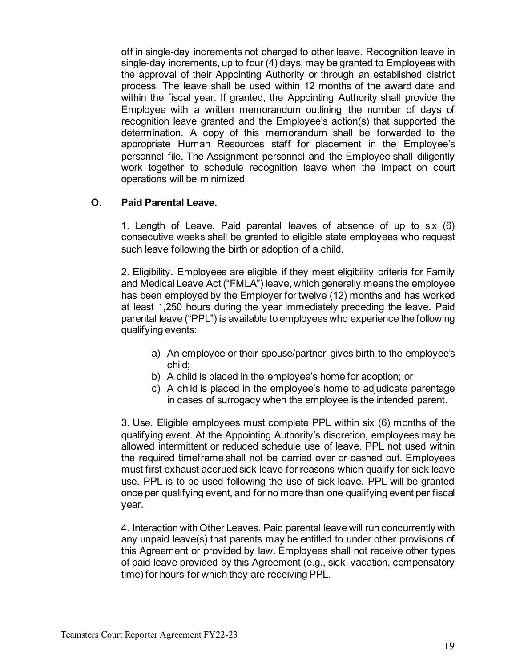off in single-day increments not charged to other leave. Recognition leave in single-day increments, up to four (4) days, may be granted to Employees with the approval of their Appointing Authority or through an established district process. The leave shall be used within 12 months of the award date and within the fiscal year. If granted, the Appointing Authority shall provide the Employee with a written memorandum outlining the number of days of recognition leave granted and the Employee's action(s) that supported the determination. A copy of this memorandum shall be forwarded to the appropriate Human Resources staff for placement in the Employee's personnel file. The Assignment personnel and the Employee shall diligently work together to schedule recognition leave when the impact on court operations will be minimized.

#### **O. Paid Parental Leave.**

1. Length of Leave. Paid parental leaves of absence of up to six (6) consecutive weeks shall be granted to eligible state employees who request such leave following the birth or adoption of a child.

2. Eligibility. Employees are eligible if they meet eligibility criteria for Family and Medical Leave Act ("FMLA") leave, which generally means the employee has been employed by the Employer for twelve (12) months and has worked at least 1,250 hours during the year immediately preceding the leave. Paid parental leave ("PPL") is available to employees who experience the following qualifying events:

- a) An employee or their spouse/partner gives birth to the employee's child;
- b) A child is placed in the employee's home for adoption; or
- c) A child is placed in the employee's home to adjudicate parentage in cases of surrogacy when the employee is the intended parent.

3. Use. Eligible employees must complete PPL within six (6) months of the qualifying event. At the Appointing Authority's discretion, employees may be allowed intermittent or reduced schedule use of leave. PPL not used within the required timeframe shall not be carried over or cashed out. Employees must first exhaust accrued sick leave for reasons which qualify for sick leave use. PPL is to be used following the use of sick leave. PPL will be granted once per qualifying event, and for no more than one qualifying event per fiscal year.

4. Interaction with Other Leaves. Paid parental leave will run concurrently with any unpaid leave(s) that parents may be entitled to under other provisions of this Agreement or provided by law. Employees shall not receive other types of paid leave provided by this Agreement (e.g., sick, vacation, compensatory time) for hours for which they are receiving PPL.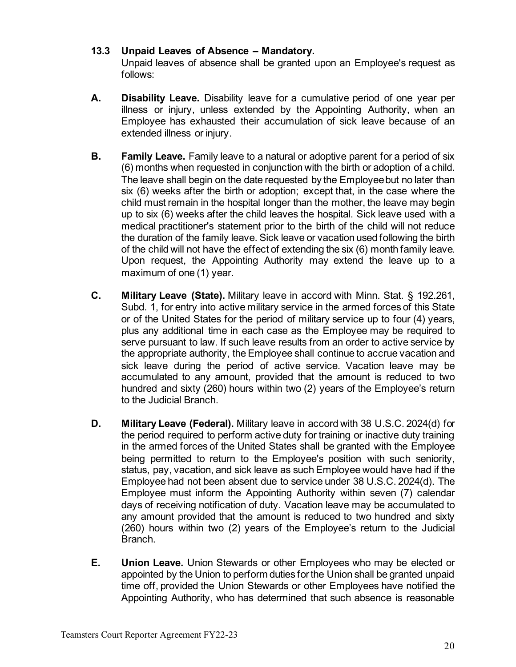## <span id="page-19-0"></span>**13.3 Unpaid Leaves of Absence – Mandatory.**

Unpaid leaves of absence shall be granted upon an Employee's request as follows:

- **A. Disability Leave.** Disability leave for a cumulative period of one year per illness or injury, unless extended by the Appointing Authority, when an Employee has exhausted their accumulation of sick leave because of an extended illness or injury.
- **B. Family Leave.** Family leave to a natural or adoptive parent for a period of six (6) months when requested in conjunction with the birth or adoption of a child. The leave shall begin on the date requested by the Employee but no later than six (6) weeks after the birth or adoption; except that, in the case where the child must remain in the hospital longer than the mother, the leave may begin up to six (6) weeks after the child leaves the hospital. Sick leave used with a medical practitioner's statement prior to the birth of the child will not reduce the duration of the family leave. Sick leave or vacation used following the birth of the child will not have the effect of extending the six (6) month family leave. Upon request, the Appointing Authority may extend the leave up to a maximum of one (1) year.
- **C. Military Leave (State).** Military leave in accord with Minn. Stat. § 192.261, Subd. 1, for entry into active military service in the armed forces of this State or of the United States for the period of military service up to four (4) years, plus any additional time in each case as the Employee may be required to serve pursuant to law. If such leave results from an order to active service by the appropriate authority, the Employee shall continue to accrue vacation and sick leave during the period of active service. Vacation leave may be accumulated to any amount, provided that the amount is reduced to two hundred and sixty (260) hours within two (2) years of the Employee's return to the Judicial Branch.
- **D. Military Leave (Federal).** Military leave in accord with 38 U.S.C. 2024(d) for the period required to perform active duty for training or inactive duty training in the armed forces of the United States shall be granted with the Employee being permitted to return to the Employee's position with such seniority, status, pay, vacation, and sick leave as such Employee would have had if the Employee had not been absent due to service under 38 U.S.C. 2024(d). The Employee must inform the Appointing Authority within seven (7) calendar days of receiving notification of duty. Vacation leave may be accumulated to any amount provided that the amount is reduced to two hundred and sixty (260) hours within two (2) years of the Employee's return to the Judicial Branch.
- **E. Union Leave.** Union Stewards or other Employees who may be elected or appointed by the Union to perform duties for the Union shall be granted unpaid time off, provided the Union Stewards or other Employees have notified the Appointing Authority, who has determined that such absence is reasonable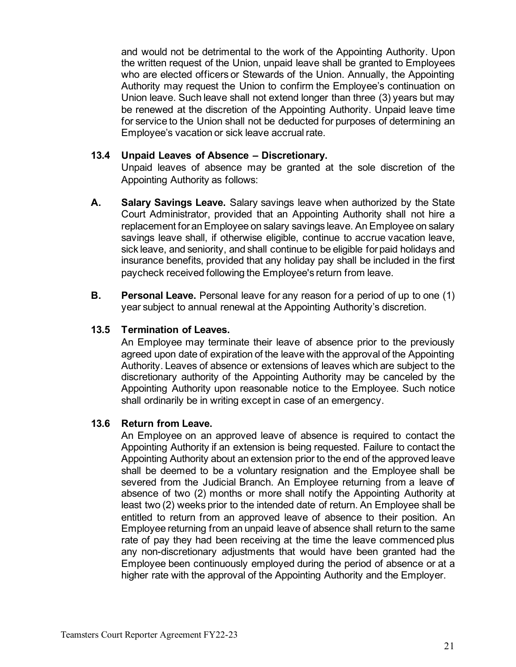and would not be detrimental to the work of the Appointing Authority. Upon the written request of the Union, unpaid leave shall be granted to Employees who are elected officers or Stewards of the Union. Annually, the Appointing Authority may request the Union to confirm the Employee's continuation on Union leave. Such leave shall not extend longer than three (3) years but may be renewed at the discretion of the Appointing Authority. Unpaid leave time for service to the Union shall not be deducted for purposes of determining an Employee's vacation or sick leave accrual rate.

#### <span id="page-20-0"></span>**13.4 Unpaid Leaves of Absence – Discretionary.**

Unpaid leaves of absence may be granted at the sole discretion of the Appointing Authority as follows:

- **A. Salary Savings Leave.** Salary savings leave when authorized by the State Court Administrator, provided that an Appointing Authority shall not hire a replacement for an Employee on salary savings leave. An Employee on salary savings leave shall, if otherwise eligible, continue to accrue vacation leave, sick leave, and seniority, and shall continue to be eligible for paid holidays and insurance benefits, provided that any holiday pay shall be included in the first paycheck received following the Employee's return from leave.
- **B. Personal Leave.** Personal leave for any reason for a period of up to one (1) year subject to annual renewal at the Appointing Authority's discretion.

#### <span id="page-20-1"></span>**13.5 Termination of Leaves.**

An Employee may terminate their leave of absence prior to the previously agreed upon date of expiration of the leave with the approval of the Appointing Authority. Leaves of absence or extensions of leaves which are subject to the discretionary authority of the Appointing Authority may be canceled by the Appointing Authority upon reasonable notice to the Employee. Such notice shall ordinarily be in writing except in case of an emergency.

#### <span id="page-20-2"></span>**13.6 Return from Leave.**

An Employee on an approved leave of absence is required to contact the Appointing Authority if an extension is being requested. Failure to contact the Appointing Authority about an extension prior to the end of the approved leave shall be deemed to be a voluntary resignation and the Employee shall be severed from the Judicial Branch. An Employee returning from a leave of absence of two (2) months or more shall notify the Appointing Authority at least two (2) weeks prior to the intended date of return. An Employee shall be entitled to return from an approved leave of absence to their position. An Employee returning from an unpaid leave of absence shall return to the same rate of pay they had been receiving at the time the leave commenced plus any non-discretionary adjustments that would have been granted had the Employee been continuously employed during the period of absence or at a higher rate with the approval of the Appointing Authority and the Employer.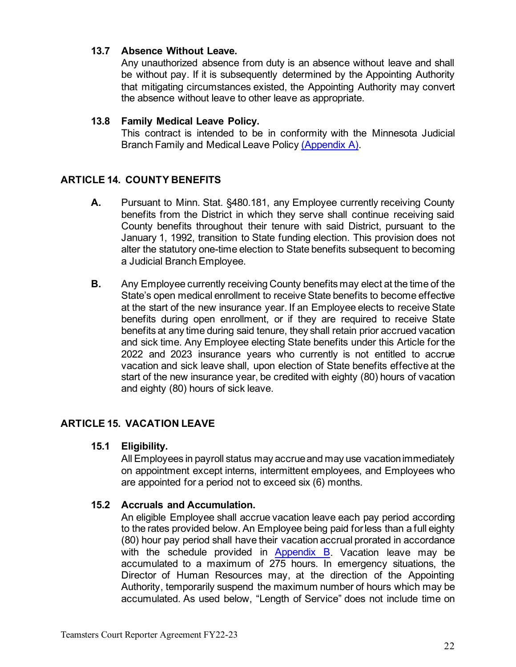## <span id="page-21-0"></span>**13.7 Absence Without Leave.**

Any unauthorized absence from duty is an absence without leave and shall be without pay. If it is subsequently determined by the Appointing Authority that mitigating circumstances existed, the Appointing Authority may convert the absence without leave to other leave as appropriate.

#### <span id="page-21-1"></span>**13.8 Family Medical Leave Policy.**

This contract is intended to be in conformity with the Minnesota Judicial Branch Family and Medical Leave Policy [\(Appendix A\).](#page-36-0)

## <span id="page-21-2"></span>**ARTICLE 14. COUNTY BENEFITS**

- **A.** Pursuant to Minn. Stat. §480.181, any Employee currently receiving County benefits from the District in which they serve shall continue receiving said County benefits throughout their tenure with said District, pursuant to the January 1, 1992, transition to State funding election. This provision does not alter the statutory one-time election to State benefits subsequent to becoming a Judicial Branch Employee.
- **B.** Any Employee currently receiving County benefits may elect at the time of the State's open medical enrollment to receive State benefits to become effective at the start of the new insurance year. If an Employee elects to receive State benefits during open enrollment, or if they are required to receive State benefits at any time during said tenure, they shall retain prior accrued vacation and sick time. Any Employee electing State benefits under this Article for the 2022 and 2023 insurance years who currently is not entitled to accrue vacation and sick leave shall, upon election of State benefits effective at the start of the new insurance year, be credited with eighty (80) hours of vacation and eighty (80) hours of sick leave.

# <span id="page-21-4"></span><span id="page-21-3"></span>**ARTICLE 15. VACATION LEAVE**

#### **15.1 Eligibility.**

All Employees in payroll status may accrue and may use vacation immediately on appointment except interns, intermittent employees, and Employees who are appointed for a period not to exceed six (6) months.

## <span id="page-21-5"></span>**15.2 Accruals and Accumulation.**

An eligible Employee shall accrue vacation leave each pay period according to the rates provided below. An Employee being paid for less than a full eighty (80) hour pay period shall have their vacation accrual prorated in accordance with the schedule provided in [Appendix B.](#page-37-1) Vacation leave may be accumulated to a maximum of 275 hours. In emergency situations, the Director of Human Resources may, at the direction of the Appointing Authority, temporarily suspend the maximum number of hours which may be accumulated. As used below, "Length of Service" does not include time on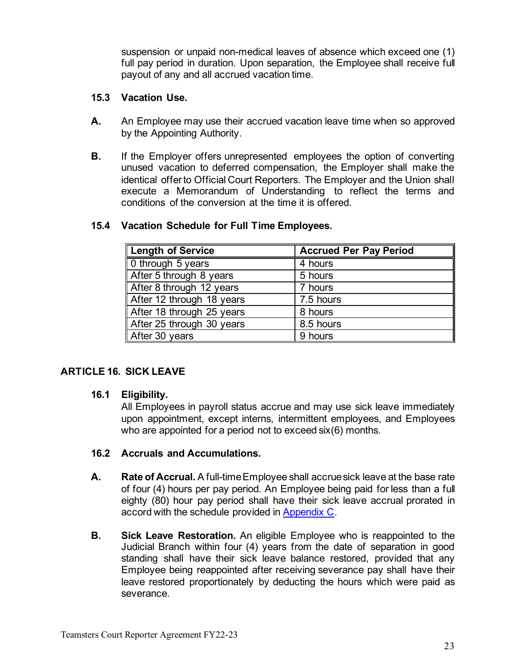suspension or unpaid non-medical leaves of absence which exceed one (1) full pay period in duration. Upon separation, the Employee shall receive full payout of any and all accrued vacation time.

#### <span id="page-22-0"></span>**15.3 Vacation Use.**

- **A.** An Employee may use their accrued vacation leave time when so approved by the Appointing Authority.
- **B.** If the Employer offers unrepresented employees the option of converting unused vacation to deferred compensation, the Employer shall make the identical offer to Official Court Reporters. The Employer and the Union shall execute a Memorandum of Understanding to reflect the terms and conditions of the conversion at the time it is offered.

| <b>Length of Service</b>  | <b>Accrued Per Pay Period</b> |
|---------------------------|-------------------------------|
| 0 through 5 years         | 4 hours                       |
| After 5 through 8 years   | 5 hours                       |
| After 8 through 12 years  | 7 hours                       |
| After 12 through 18 years | 7.5 hours                     |
| After 18 through 25 years | 8 hours                       |
| After 25 through 30 years | 8.5 hours                     |
| After 30 years            | 9 hours                       |

## <span id="page-22-1"></span>**15.4 Vacation Schedule for Full Time Employees.**

## <span id="page-22-3"></span><span id="page-22-2"></span>**ARTICLE 16. SICK LEAVE**

## **16.1 Eligibility.**

All Employees in payroll status accrue and may use sick leave immediately upon appointment, except interns, intermittent employees, and Employees who are appointed for a period not to exceed six(6) months.

## <span id="page-22-4"></span>**16.2 Accruals and Accumulations.**

- **A. Rate of Accrual.** A full-time Employee shall accrue sick leave at the base rate of four (4) hours per pay period. An Employee being paid for less than a full eighty (80) hour pay period shall have their sick leave accrual prorated in accord with the schedule provided in [Appendix C.](#page-38-1)
- **B. Sick Leave Restoration.** An eligible Employee who is reappointed to the Judicial Branch within four (4) years from the date of separation in good standing shall have their sick leave balance restored, provided that any Employee being reappointed after receiving severance pay shall have their leave restored proportionately by deducting the hours which were paid as severance.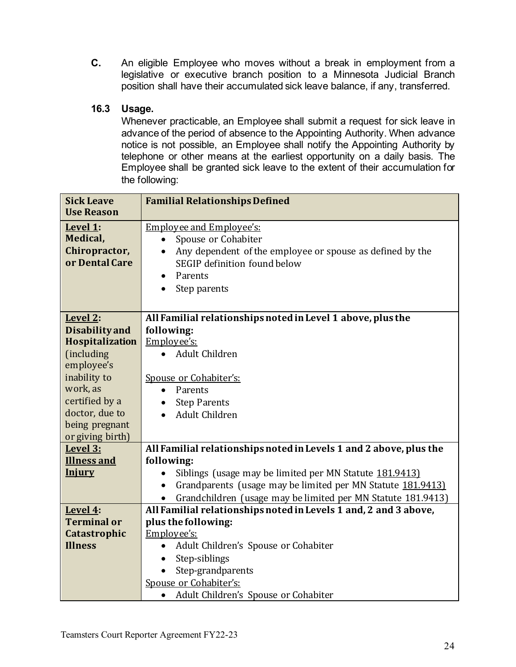**C.** An eligible Employee who moves without a break in employment from a legislative or executive branch position to a Minnesota Judicial Branch position shall have their accumulated sick leave balance, if any, transferred.

## <span id="page-23-0"></span>**16.3 Usage.**

Whenever practicable, an Employee shall submit a request for sick leave in advance of the period of absence to the Appointing Authority. When advance notice is not possible, an Employee shall notify the Appointing Authority by telephone or other means at the earliest opportunity on a daily basis. The Employee shall be granted sick leave to the extent of their accumulation for the following:

| <b>Sick Leave</b>                 | <b>Familial Relationships Defined</b>                                     |  |  |  |
|-----------------------------------|---------------------------------------------------------------------------|--|--|--|
| <b>Use Reason</b>                 |                                                                           |  |  |  |
| Level 1:<br>Medical,              | <b>Employee and Employee's:</b><br>Spouse or Cohabiter<br>$\bullet$       |  |  |  |
| Chiropractor,                     | Any dependent of the employee or spouse as defined by the<br>$\bullet$    |  |  |  |
| or Dental Care                    | SEGIP definition found below<br>Parents                                   |  |  |  |
|                                   | $\bullet$<br>Step parents                                                 |  |  |  |
|                                   |                                                                           |  |  |  |
|                                   |                                                                           |  |  |  |
| Level 2:<br><b>Disability and</b> | All Familial relationships noted in Level 1 above, plus the<br>following: |  |  |  |
| <b>Hospitalization</b>            | Employee's:                                                               |  |  |  |
| (including                        | <b>Adult Children</b><br>$\bullet$                                        |  |  |  |
| employee's                        |                                                                           |  |  |  |
| inability to                      | Spouse or Cohabiter's:                                                    |  |  |  |
| work, as                          | Parents<br>$\bullet$                                                      |  |  |  |
| certified by a                    | <b>Step Parents</b>                                                       |  |  |  |
| doctor, due to                    | Adult Children                                                            |  |  |  |
| being pregnant                    |                                                                           |  |  |  |
| or giving birth)<br>Level 3:      | All Familial relationships noted in Levels 1 and 2 above, plus the        |  |  |  |
| <b>Illness and</b>                | following:                                                                |  |  |  |
| <b>Injury</b>                     | Siblings (usage may be limited per MN Statute 181.9413)                   |  |  |  |
|                                   | Grandparents (usage may be limited per MN Statute 181.9413)<br>$\bullet$  |  |  |  |
|                                   | Grandchildren (usage may be limited per MN Statute 181.9413)<br>$\bullet$ |  |  |  |
| Level 4:                          | All Familial relationships noted in Levels 1 and, 2 and 3 above,          |  |  |  |
| <b>Terminal or</b>                | plus the following:                                                       |  |  |  |
| Catastrophic                      | Employee's:                                                               |  |  |  |
| <b>Illness</b>                    | Adult Children's Spouse or Cohabiter<br>$\bullet$                         |  |  |  |
|                                   | Step-siblings                                                             |  |  |  |
|                                   | Step-grandparents                                                         |  |  |  |
|                                   | Spouse or Cohabiter's:                                                    |  |  |  |
|                                   | Adult Children's Spouse or Cohabiter<br>$\bullet$                         |  |  |  |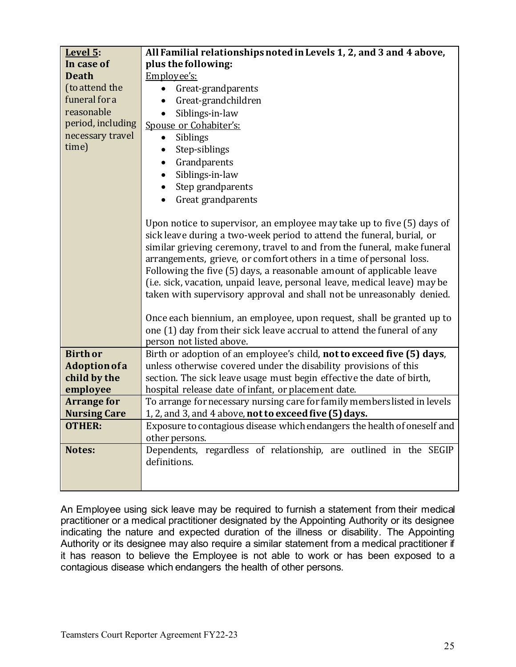| Level 5:            | All Familial relationships noted in Levels 1, 2, and 3 and 4 above,       |  |  |  |  |
|---------------------|---------------------------------------------------------------------------|--|--|--|--|
| In case of          | plus the following:                                                       |  |  |  |  |
| <b>Death</b>        | Employee's:                                                               |  |  |  |  |
| (to attend the      | Great-grandparents                                                        |  |  |  |  |
| funeral for a       | Great-grandchildren                                                       |  |  |  |  |
| reasonable          | Siblings-in-law                                                           |  |  |  |  |
| period, including   | Spouse or Cohabiter's:                                                    |  |  |  |  |
| necessary travel    | Siblings<br>$\bullet$                                                     |  |  |  |  |
| time)               | Step-siblings<br>٠                                                        |  |  |  |  |
|                     | Grandparents<br>$\bullet$                                                 |  |  |  |  |
|                     | Siblings-in-law                                                           |  |  |  |  |
|                     | Step grandparents                                                         |  |  |  |  |
|                     | Great grandparents                                                        |  |  |  |  |
|                     |                                                                           |  |  |  |  |
|                     | Upon notice to supervisor, an employee may take up to five (5) days of    |  |  |  |  |
|                     | sick leave during a two-week period to attend the funeral, burial, or     |  |  |  |  |
|                     | similar grieving ceremony, travel to and from the funeral, make funeral   |  |  |  |  |
|                     | arrangements, grieve, or comfort others in a time of personal loss.       |  |  |  |  |
|                     | Following the five (5) days, a reasonable amount of applicable leave      |  |  |  |  |
|                     | (i.e. sick, vacation, unpaid leave, personal leave, medical leave) may be |  |  |  |  |
|                     | taken with supervisory approval and shall not be unreasonably denied.     |  |  |  |  |
|                     |                                                                           |  |  |  |  |
|                     | Once each biennium, an employee, upon request, shall be granted up to     |  |  |  |  |
|                     | one (1) day from their sick leave accrual to attend the funeral of any    |  |  |  |  |
|                     | person not listed above.                                                  |  |  |  |  |
| <b>Birth or</b>     | Birth or adoption of an employee's child, not to exceed five (5) days,    |  |  |  |  |
| Adoption of a       | unless otherwise covered under the disability provisions of this          |  |  |  |  |
| child by the        | section. The sick leave usage must begin effective the date of birth,     |  |  |  |  |
| employee            | hospital release date of infant, or placement date.                       |  |  |  |  |
| <b>Arrange for</b>  | To arrange for necessary nursing care for family members listed in levels |  |  |  |  |
| <b>Nursing Care</b> | 1, 2, and 3, and 4 above, not to exceed five (5) days.                    |  |  |  |  |
| <b>OTHER:</b>       | Exposure to contagious disease which endangers the health of oneself and  |  |  |  |  |
|                     | other persons.                                                            |  |  |  |  |
| Notes:              | Dependents, regardless of relationship, are outlined in the SEGIP         |  |  |  |  |
|                     | definitions.                                                              |  |  |  |  |
|                     |                                                                           |  |  |  |  |
|                     |                                                                           |  |  |  |  |

An Employee using sick leave may be required to furnish a statement from their medical practitioner or a medical practitioner designated by the Appointing Authority or its designee indicating the nature and expected duration of the illness or disability. The Appointing Authority or its designee may also require a similar statement from a medical practitioner if it has reason to believe the Employee is not able to work or has been exposed to a contagious disease which endangers the health of other persons.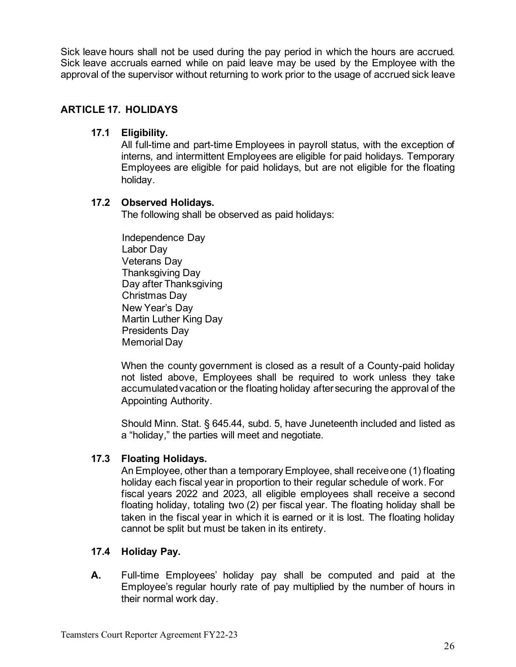Sick leave hours shall not be used during the pay period in which the hours are accrued. Sick leave accruals earned while on paid leave may be used by the Employee with the approval of the supervisor without returning to work prior to the usage of accrued sick leave

## <span id="page-25-1"></span><span id="page-25-0"></span>**ARTICLE 17. HOLIDAYS**

## **17.1 Eligibility.**

All full-time and part-time Employees in payroll status, with the exception of interns, and intermittent Employees are eligible for paid holidays. Temporary Employees are eligible for paid holidays, but are not eligible for the floating holiday.

## <span id="page-25-2"></span>**17.2 Observed Holidays.**

The following shall be observed as paid holidays:

Independence Day Labor Day Veterans Day Thanksgiving Day Day after Thanksgiving Christmas Day New Year's Day Martin Luther King Day Presidents Day Memorial Day

When the county government is closed as a result of a County-paid holiday not listed above, Employees shall be required to work unless they take accumulated vacation or the floating holiday after securing the approval of the Appointing Authority.

Should Minn. Stat. § 645.44, subd. 5, have Juneteenth included and listed as a "holiday," the parties will meet and negotiate.

## <span id="page-25-3"></span>**17.3 Floating Holidays.**

An Employee, other than a temporary Employee, shall receive one (1) floating holiday each fiscal year in proportion to their regular schedule of work. For fiscal years 2022 and 2023, all eligible employees shall receive a second floating holiday, totaling two (2) per fiscal year. The floating holiday shall be taken in the fiscal year in which it is earned or it is lost. The floating holiday cannot be split but must be taken in its entirety.

## <span id="page-25-4"></span>**17.4 Holiday Pay.**

**A.** Full-time Employees' holiday pay shall be computed and paid at the Employee's regular hourly rate of pay multiplied by the number of hours in their normal work day.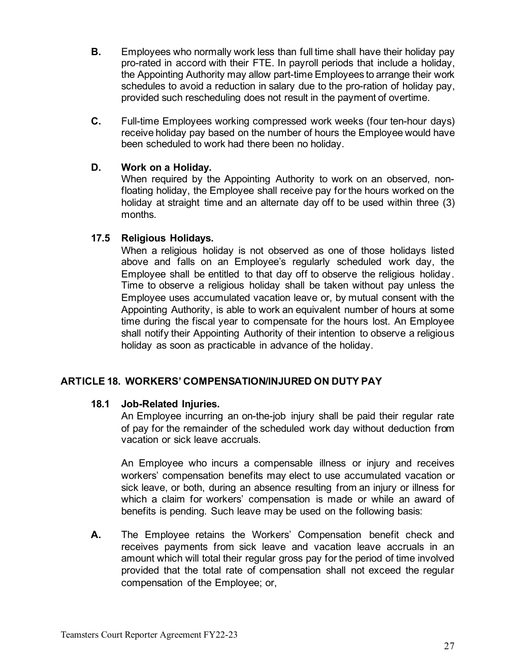- **B.** Employees who normally work less than full time shall have their holiday pay pro-rated in accord with their FTE. In payroll periods that include a holiday, the Appointing Authority may allow part-time Employees to arrange their work schedules to avoid a reduction in salary due to the pro-ration of holiday pay, provided such rescheduling does not result in the payment of overtime.
- **C.** Full-time Employees working compressed work weeks (four ten-hour days) receive holiday pay based on the number of hours the Employee would have been scheduled to work had there been no holiday.

#### **D. Work on a Holiday.**

When required by the Appointing Authority to work on an observed, nonfloating holiday, the Employee shall receive pay for the hours worked on the holiday at straight time and an alternate day off to be used within three (3) months.

## <span id="page-26-0"></span>**17.5 Religious Holidays.**

When a religious holiday is not observed as one of those holidays listed above and falls on an Employee's regularly scheduled work day, the Employee shall be entitled to that day off to observe the religious holiday. Time to observe a religious holiday shall be taken without pay unless the Employee uses accumulated vacation leave or, by mutual consent with the Appointing Authority, is able to work an equivalent number of hours at some time during the fiscal year to compensate for the hours lost. An Employee shall notify their Appointing Authority of their intention to observe a religious holiday as soon as practicable in advance of the holiday.

## <span id="page-26-2"></span><span id="page-26-1"></span>**ARTICLE 18. WORKERS' COMPENSATION/INJURED ON DUTY PAY**

## **18.1 Job-Related Injuries.**

An Employee incurring an on-the-job injury shall be paid their regular rate of pay for the remainder of the scheduled work day without deduction from vacation or sick leave accruals.

An Employee who incurs a compensable illness or injury and receives workers' compensation benefits may elect to use accumulated vacation or sick leave, or both, during an absence resulting from an injury or illness for which a claim for workers' compensation is made or while an award of benefits is pending. Such leave may be used on the following basis:

**A.** The Employee retains the Workers' Compensation benefit check and receives payments from sick leave and vacation leave accruals in an amount which will total their regular gross pay for the period of time involved provided that the total rate of compensation shall not exceed the regular compensation of the Employee; or,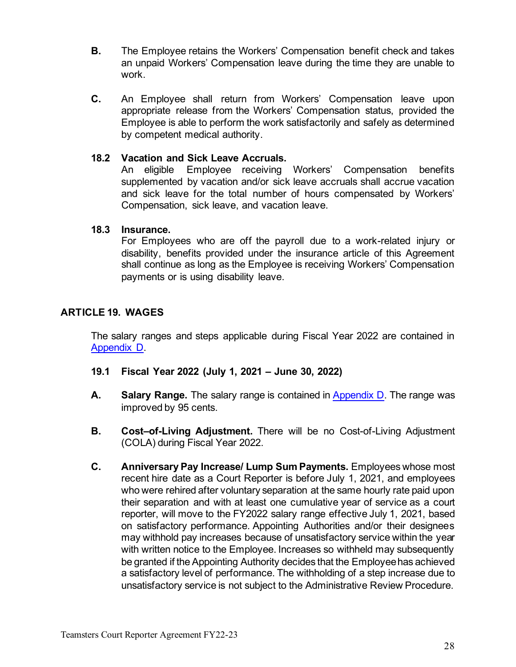- **B.** The Employee retains the Workers' Compensation benefit check and takes an unpaid Workers' Compensation leave during the time they are unable to work.
- **C.** An Employee shall return from Workers' Compensation leave upon appropriate release from the Workers' Compensation status, provided the Employee is able to perform the work satisfactorily and safely as determined by competent medical authority.

#### <span id="page-27-0"></span>**18.2 Vacation and Sick Leave Accruals.**

An eligible Employee receiving Workers' Compensation benefits supplemented by vacation and/or sick leave accruals shall accrue vacation and sick leave for the total number of hours compensated by Workers' Compensation, sick leave, and vacation leave.

#### <span id="page-27-1"></span>**18.3 Insurance.**

For Employees who are off the payroll due to a work-related injury or disability, benefits provided under the insurance article of this Agreement shall continue as long as the Employee is receiving Workers' Compensation payments or is using disability leave.

## <span id="page-27-2"></span>**ARTICLE 19. WAGES**

The salary ranges and steps applicable during Fiscal Year 2022 are contained i[n](#page-39-1) [Appendix D.](#page-39-1)

- <span id="page-27-3"></span>**19.1 Fiscal Year 2022 (July 1, 2021 – June 30, 2022)**
- **A. Salary Range.** The salary range is contained in [Appendix D.](#page-39-1) The range was improved by 95 cents.
- **B. Cost–of-Living Adjustment.** There will be no Cost-of-Living Adjustment (COLA) during Fiscal Year 2022.
- **C. Anniversary Pay Increase/ Lump Sum Payments.** Employees whose most recent hire date as a Court Reporter is before July 1, 2021, and employees who were rehired after voluntary separation at the same hourly rate paid upon their separation and with at least one cumulative year of service as a court reporter, will move to the FY2022 salary range effective July 1, 2021, based on satisfactory performance. Appointing Authorities and/or their designees may withhold pay increases because of unsatisfactory service within the year with written notice to the Employee. Increases so withheld may subsequently be granted if the Appointing Authority decides that the Employee has achieved a satisfactory level of performance. The withholding of a step increase due to unsatisfactory service is not subject to the Administrative Review Procedure.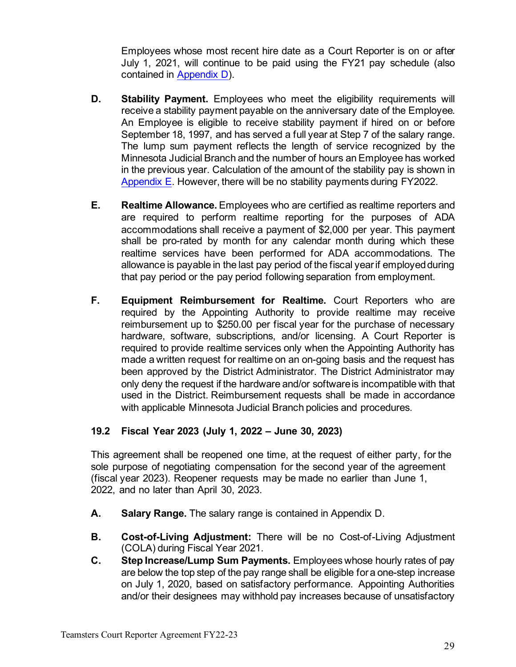Employees whose most recent hire date as a Court Reporter is on or after July 1, 2021, will continue to be paid using the FY21 pay schedule (also contained in [Appendix D\)](#page-39-1).

- **D.** Stability Payment. Employees who meet the eligibility requirements will receive a stability payment payable on the anniversary date of the Employee. An Employee is eligible to receive stability payment if hired on or before September 18, 1997, and has served a full year at Step 7 of the salary range. The lump sum payment reflects the length of service recognized by the Minnesota Judicial Branch and the number of hours an Employee has worked in the previous year. Calculation of the amount of the stability pay is shown in [Appendix E.](#page-40-1) However, there will be no stability payments during FY2022.
- **E. Realtime Allowance.** Employees who are certified as realtime reporters and are required to perform realtime reporting for the purposes of ADA accommodations shall receive a payment of \$2,000 per year. This payment shall be pro-rated by month for any calendar month during which these realtime services have been performed for ADA accommodations. The allowance is payable in the last pay period of the fiscal year if employed during that pay period or the pay period following separation from employment.
- **F. Equipment Reimbursement for Realtime.** Court Reporters who are required by the Appointing Authority to provide realtime may receive reimbursement up to \$250.00 per fiscal year for the purchase of necessary hardware, software, subscriptions, and/or licensing. A Court Reporter is required to provide realtime services only when the Appointing Authority has made a written request for realtime on an on-going basis and the request has been approved by the District Administrator. The District Administrator may only deny the request if the hardware and/or software is incompatible with that used in the District. Reimbursement requests shall be made in accordance with applicable Minnesota Judicial Branch policies and procedures.

## <span id="page-28-0"></span>**19.2 Fiscal Year 2023 (July 1, 2022 – June 30, 2023)**

This agreement shall be reopened one time, at the request of either party, for the sole purpose of negotiating compensation for the second year of the agreement (fiscal year 2023). Reopener requests may be made no earlier than June 1, 2022, and no later than April 30, 2023.

- **A. Salary Range.** The salary range is contained in Appendix D.
- **B. Cost-of-Living Adjustment:** There will be no Cost-of-Living Adjustment (COLA) during Fiscal Year 2021.
- **C. Step Increase/Lump Sum Payments.** Employees whose hourly rates of pay are below the top step of the pay range shall be eligible for a one-step increase on July 1, 2020, based on satisfactory performance. Appointing Authorities and/or their designees may withhold pay increases because of unsatisfactory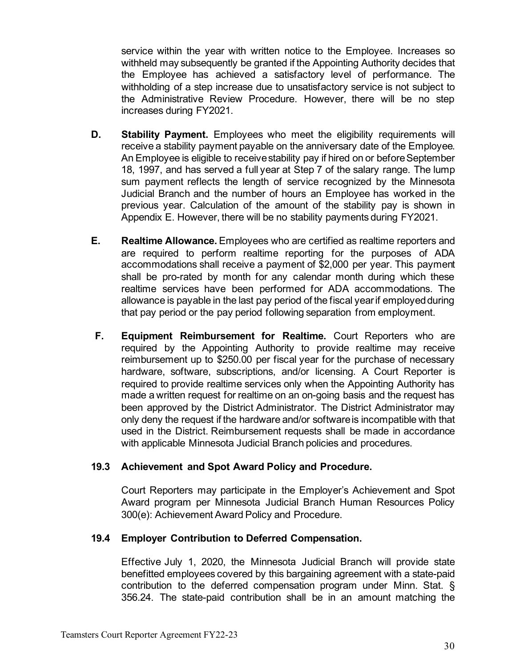service within the year with written notice to the Employee. Increases so withheld may subsequently be granted if the Appointing Authority decides that the Employee has achieved a satisfactory level of performance. The withholding of a step increase due to unsatisfactory service is not subject to the Administrative Review Procedure. However, there will be no step increases during FY2021.

- **D. Stability Payment.** Employees who meet the eligibility requirements will receive a stability payment payable on the anniversary date of the Employee. An Employee is eligible to receive stability pay if hired on or before September 18, 1997, and has served a full year at Step 7 of the salary range. The lump sum payment reflects the length of service recognized by the Minnesota Judicial Branch and the number of hours an Employee has worked in the previous year. Calculation of the amount of the stability pay is shown in Appendix E. However, there will be no stability payments during FY2021.
- **E. Realtime Allowance.** Employees who are certified as realtime reporters and are required to perform realtime reporting for the purposes of ADA accommodations shall receive a payment of \$2,000 per year. This payment shall be pro-rated by month for any calendar month during which these realtime services have been performed for ADA accommodations. The allowance is payable in the last pay period of the fiscal year if employed during that pay period or the pay period following separation from employment.
- **F. Equipment Reimbursement for Realtime.** Court Reporters who are required by the Appointing Authority to provide realtime may receive reimbursement up to \$250.00 per fiscal year for the purchase of necessary hardware, software, subscriptions, and/or licensing. A Court Reporter is required to provide realtime services only when the Appointing Authority has made a written request for realtime on an on-going basis and the request has been approved by the District Administrator. The District Administrator may only deny the request if the hardware and/or software is incompatible with that used in the District. Reimbursement requests shall be made in accordance with applicable Minnesota Judicial Branch policies and procedures.

#### <span id="page-29-0"></span>**19.3 Achievement and Spot Award Policy and Procedure.**

Court Reporters may participate in the Employer's Achievement and Spot Award program per Minnesota Judicial Branch Human Resources Policy 300(e): Achievement Award Policy and Procedure.

## <span id="page-29-1"></span>**19.4 Employer Contribution to Deferred Compensation.**

Effective July 1, 2020, the Minnesota Judicial Branch will provide state benefitted employees covered by this bargaining agreement with a state-paid contribution to the deferred compensation program under Minn. Stat. § 356.24. The state-paid contribution shall be in an amount matching the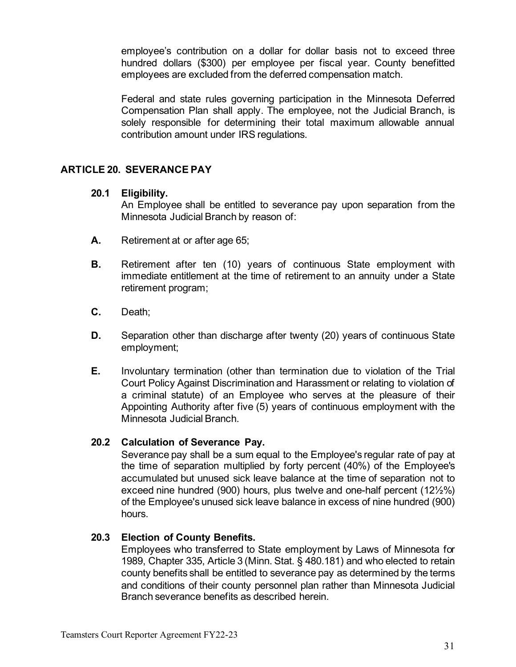employee's contribution on a dollar for dollar basis not to exceed three hundred dollars (\$300) per employee per fiscal year. County benefitted employees are excluded from the deferred compensation match.

Federal and state rules governing participation in the Minnesota Deferred Compensation Plan shall apply. The employee, not the Judicial Branch, is solely responsible for determining their total maximum allowable annual contribution amount under IRS regulations.

## <span id="page-30-1"></span><span id="page-30-0"></span>**ARTICLE 20. SEVERANCE PAY**

#### **20.1 Eligibility.**

An Employee shall be entitled to severance pay upon separation from the Minnesota Judicial Branch by reason of:

- **A.** Retirement at or after age 65;
- **B.** Retirement after ten (10) years of continuous State employment with immediate entitlement at the time of retirement to an annuity under a State retirement program;
- **C.** Death;
- **D.** Separation other than discharge after twenty (20) years of continuous State employment;
- **E.** Involuntary termination (other than termination due to violation of the Trial Court Policy Against Discrimination and Harassment or relating to violation of a criminal statute) of an Employee who serves at the pleasure of their Appointing Authority after five (5) years of continuous employment with the Minnesota Judicial Branch.

## <span id="page-30-2"></span>**20.2 Calculation of Severance Pay.**

Severance pay shall be a sum equal to the Employee's regular rate of pay at the time of separation multiplied by forty percent (40%) of the Employee's accumulated but unused sick leave balance at the time of separation not to exceed nine hundred (900) hours, plus twelve and one-half percent (12½%) of the Employee's unused sick leave balance in excess of nine hundred (900) hours.

#### <span id="page-30-3"></span>**20.3 Election of County Benefits.**

Employees who transferred to State employment by Laws of Minnesota for 1989, Chapter 335, Article 3 (Minn. Stat. § 480.181) and who elected to retain county benefits shall be entitled to severance pay as determined by the terms and conditions of their county personnel plan rather than Minnesota Judicial Branch severance benefits as described herein.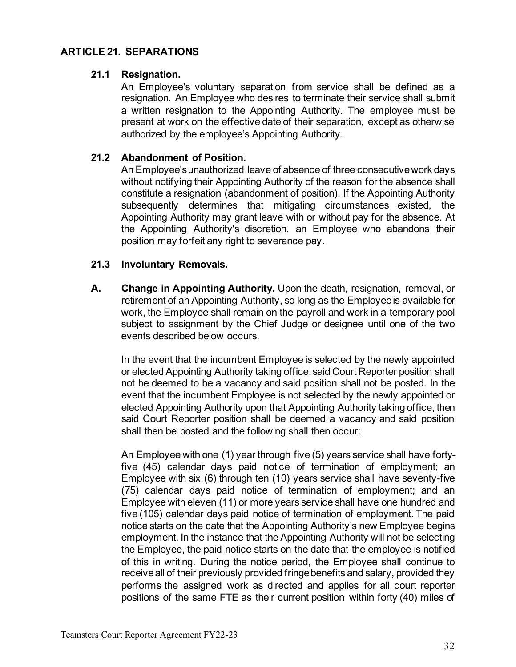## <span id="page-31-1"></span><span id="page-31-0"></span>**ARTICLE 21. SEPARATIONS**

#### **21.1 Resignation.**

An Employee's voluntary separation from service shall be defined as a resignation. An Employee who desires to terminate their service shall submit a written resignation to the Appointing Authority. The employee must be present at work on the effective date of their separation, except as otherwise authorized by the employee's Appointing Authority.

## <span id="page-31-2"></span>**21.2 Abandonment of Position.**

An Employee's unauthorized leave of absence of three consecutive work days without notifying their Appointing Authority of the reason for the absence shall constitute a resignation (abandonment of position). If the Appointing Authority subsequently determines that mitigating circumstances existed, the Appointing Authority may grant leave with or without pay for the absence. At the Appointing Authority's discretion, an Employee who abandons their position may forfeit any right to severance pay.

## <span id="page-31-3"></span>**21.3 Involuntary Removals.**

**A. Change in Appointing Authority.** Upon the death, resignation, removal, or retirement of an Appointing Authority, so long as the Employee is available for work, the Employee shall remain on the payroll and work in a temporary pool subject to assignment by the Chief Judge or designee until one of the two events described below occurs.

In the event that the incumbent Employee is selected by the newly appointed or elected Appointing Authority taking office, said Court Reporter position shall not be deemed to be a vacancy and said position shall not be posted. In the event that the incumbent Employee is not selected by the newly appointed or elected Appointing Authority upon that Appointing Authority taking office, then said Court Reporter position shall be deemed a vacancy and said position shall then be posted and the following shall then occur:

An Employee with one (1) year through five (5) years service shall have fortyfive (45) calendar days paid notice of termination of employment; an Employee with six (6) through ten (10) years service shall have seventy-five (75) calendar days paid notice of termination of employment; and an Employee with eleven (11) or more years service shall have one hundred and five (105) calendar days paid notice of termination of employment. The paid notice starts on the date that the Appointing Authority's new Employee begins employment. In the instance that the Appointing Authority will not be selecting the Employee, the paid notice starts on the date that the employee is notified of this in writing. During the notice period, the Employee shall continue to receive all of their previously provided fringe benefits and salary, provided they performs the assigned work as directed and applies for all court reporter positions of the same FTE as their current position within forty (40) miles of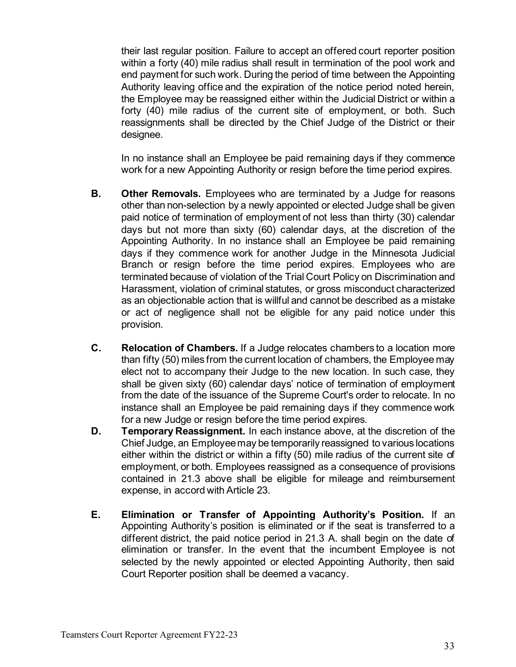their last regular position. Failure to accept an offered court reporter position within a forty (40) mile radius shall result in termination of the pool work and end payment for such work. During the period of time between the Appointing Authority leaving office and the expiration of the notice period noted herein, the Employee may be reassigned either within the Judicial District or within a forty (40) mile radius of the current site of employment, or both. Such reassignments shall be directed by the Chief Judge of the District or their designee.

In no instance shall an Employee be paid remaining days if they commence work for a new Appointing Authority or resign before the time period expires.

- **B. Other Removals.** Employees who are terminated by a Judge for reasons other than non-selection by a newly appointed or elected Judge shall be given paid notice of termination of employment of not less than thirty (30) calendar days but not more than sixty (60) calendar days, at the discretion of the Appointing Authority. In no instance shall an Employee be paid remaining days if they commence work for another Judge in the Minnesota Judicial Branch or resign before the time period expires. Employees who are terminated because of violation of the Trial Court Policy on Discrimination and Harassment, violation of criminal statutes, or gross misconduct characterized as an objectionable action that is willful and cannot be described as a mistake or act of negligence shall not be eligible for any paid notice under this provision.
- **C. Relocation of Chambers.** If a Judge relocates chambers to a location more than fifty (50) miles from the current location of chambers, the Employee may elect not to accompany their Judge to the new location. In such case, they shall be given sixty (60) calendar days' notice of termination of employment from the date of the issuance of the Supreme Court's order to relocate. In no instance shall an Employee be paid remaining days if they commence work for a new Judge or resign before the time period expires.
- **D. Temporary Reassignment.** In each instance above, at the discretion of the Chief Judge, an Employee may be temporarily reassigned to various locations either within the district or within a fifty (50) mile radius of the current site of employment, or both. Employees reassigned as a consequence of provisions contained in 21.3 above shall be eligible for mileage and reimbursement expense, in accord with Article 23.
- **E. Elimination or Transfer of Appointing Authority's Position.** If an Appointing Authority's position is eliminated or if the seat is transferred to a different district, the paid notice period in 21.3 A. shall begin on the date of elimination or transfer. In the event that the incumbent Employee is not selected by the newly appointed or elected Appointing Authority, then said Court Reporter position shall be deemed a vacancy.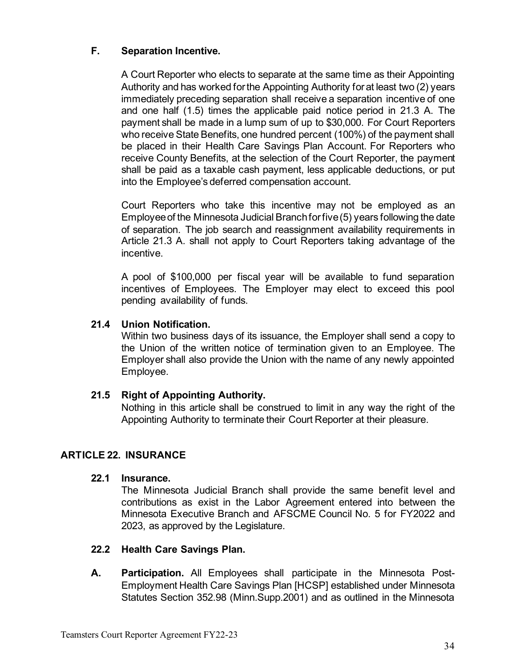## **F. Separation Incentive.**

A Court Reporter who elects to separate at the same time as their Appointing Authority and has worked for the Appointing Authority for at least two (2) years immediately preceding separation shall receive a separation incentive of one and one half (1.5) times the applicable paid notice period in 21.3 A. The payment shall be made in a lump sum of up to \$30,000. For Court Reporters who receive State Benefits, one hundred percent (100%) of the payment shall be placed in their Health Care Savings Plan Account. For Reporters who receive County Benefits, at the selection of the Court Reporter, the payment shall be paid as a taxable cash payment, less applicable deductions, or put into the Employee's deferred compensation account.

Court Reporters who take this incentive may not be employed as an Employee of the Minnesota Judicial Branch for five (5) years following the date of separation. The job search and reassignment availability requirements in Article 21.3 A. shall not apply to Court Reporters taking advantage of the incentive.

A pool of \$100,000 per fiscal year will be available to fund separation incentives of Employees. The Employer may elect to exceed this pool pending availability of funds.

## <span id="page-33-0"></span>**21.4 Union Notification.**

Within two business days of its issuance, the Employer shall send a copy to the Union of the written notice of termination given to an Employee. The Employer shall also provide the Union with the name of any newly appointed Employee.

## <span id="page-33-1"></span>**21.5 Right of Appointing Authority.**

Nothing in this article shall be construed to limit in any way the right of the Appointing Authority to terminate their Court Reporter at their pleasure.

## <span id="page-33-3"></span><span id="page-33-2"></span>**ARTICLE 22. INSURANCE**

#### **22.1 Insurance.**

The Minnesota Judicial Branch shall provide the same benefit level and contributions as exist in the Labor Agreement entered into between the Minnesota Executive Branch and AFSCME Council No. 5 for FY2022 and 2023, as approved by the Legislature.

#### <span id="page-33-4"></span>**22.2 Health Care Savings Plan.**

**A. Participation.** All Employees shall participate in the Minnesota Post-Employment Health Care Savings Plan [HCSP] established under Minnesota Statutes Section 352.98 (Minn.Supp.2001) and as outlined in the Minnesota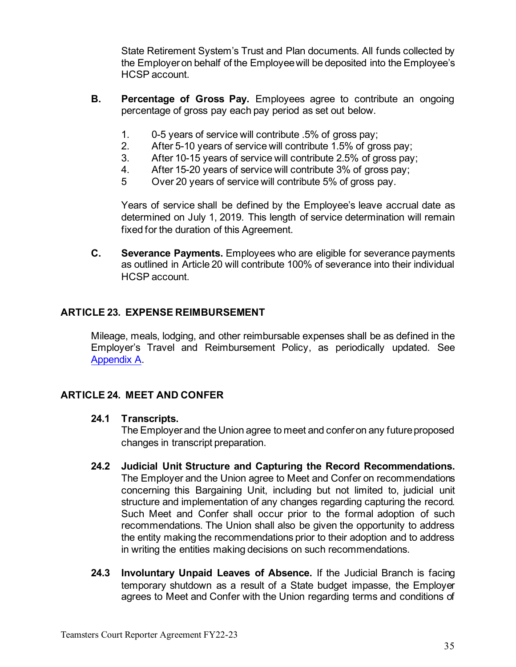State Retirement System's Trust and Plan documents. All funds collected by the Employer on behalf of the Employee will be deposited into the Employee's HCSP account.

- **B. Percentage of Gross Pay.** Employees agree to contribute an ongoing percentage of gross pay each pay period as set out below.
	- 1. 0-5 years of service will contribute .5% of gross pay;
	- 2. After 5-10 years of service will contribute 1.5% of gross pay;
	- 3. After 10-15 years of service will contribute 2.5% of gross pay;
	- 4. After 15-20 years of service will contribute 3% of gross pay;
	- 5 Over 20 years of service will contribute 5% of gross pay.

Years of service shall be defined by the Employee's leave accrual date as determined on July 1, 2019. This length of service determination will remain fixed for the duration of this Agreement.

**C. Severance Payments.** Employees who are eligible for severance payments as outlined in Article 20 will contribute 100% of severance into their individual HCSP account.

## <span id="page-34-0"></span>**ARTICLE 23. EXPENSE REIMBURSEMENT**

Mileage, meals, lodging, and other reimbursable expenses shall be as defined in the Employer's Travel and Reimbursement Policy, as periodically updated. See [Appendix A.](#page-36-0)

## <span id="page-34-2"></span><span id="page-34-1"></span>**ARTICLE 24. MEET AND CONFER**

#### **24.1 Transcripts.**

The Employer and the Union agree to meet and confer on any future proposed changes in transcript preparation.

- **24.2 Judicial Unit Structure and Capturing the Record Recommendations.** The Employer and the Union agree to Meet and Confer on recommendations concerning this Bargaining Unit, including but not limited to, judicial unit structure and implementation of any changes regarding capturing the record. Such Meet and Confer shall occur prior to the formal adoption of such recommendations. The Union shall also be given the opportunity to address the entity making the recommendations prior to their adoption and to address in writing the entities making decisions on such recommendations.
- **24.3 Involuntary Unpaid Leaves of Absence.** If the Judicial Branch is facing temporary shutdown as a result of a State budget impasse, the Employer agrees to Meet and Confer with the Union regarding terms and conditions of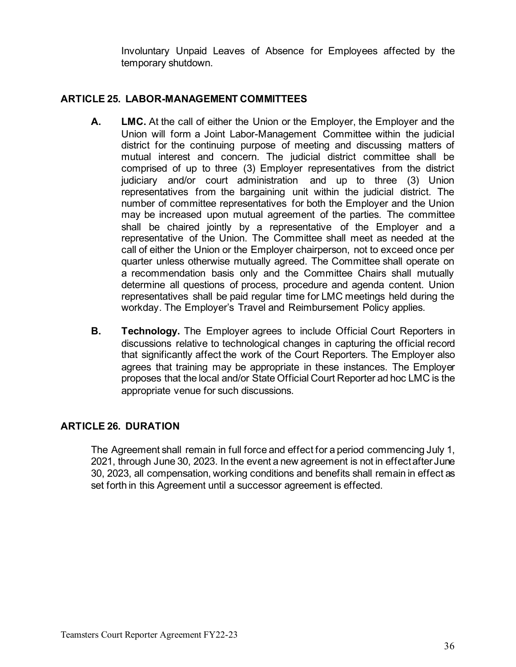Involuntary Unpaid Leaves of Absence for Employees affected by the temporary shutdown.

## <span id="page-35-0"></span>**ARTICLE 25. LABOR-MANAGEMENT COMMITTEES**

- **A. LMC.** At the call of either the Union or the Employer, the Employer and the Union will form a Joint Labor-Management Committee within the judicial district for the continuing purpose of meeting and discussing matters of mutual interest and concern. The judicial district committee shall be comprised of up to three (3) Employer representatives from the district judiciary and/or court administration and up to three (3) Union representatives from the bargaining unit within the judicial district. The number of committee representatives for both the Employer and the Union may be increased upon mutual agreement of the parties. The committee shall be chaired jointly by a representative of the Employer and a representative of the Union. The Committee shall meet as needed at the call of either the Union or the Employer chairperson, not to exceed once per quarter unless otherwise mutually agreed. The Committee shall operate on a recommendation basis only and the Committee Chairs shall mutually determine all questions of process, procedure and agenda content. Union representatives shall be paid regular time for LMC meetings held during the workday. The Employer's Travel and Reimbursement Policy applies.
- **B. Technology.** The Employer agrees to include Official Court Reporters in discussions relative to technological changes in capturing the official record that significantly affect the work of the Court Reporters. The Employer also agrees that training may be appropriate in these instances. The Employer proposes that the local and/or State Official Court Reporter ad hoc LMC is the appropriate venue for such discussions.

## <span id="page-35-1"></span>**ARTICLE 26. DURATION**

The Agreement shall remain in full force and effect for a period commencing July 1, 2021, through June 30, 2023. In the event a new agreement is not in effect after June 30, 2023, all compensation, working conditions and benefits shall remain in effect as set forth in this Agreement until a successor agreement is effected.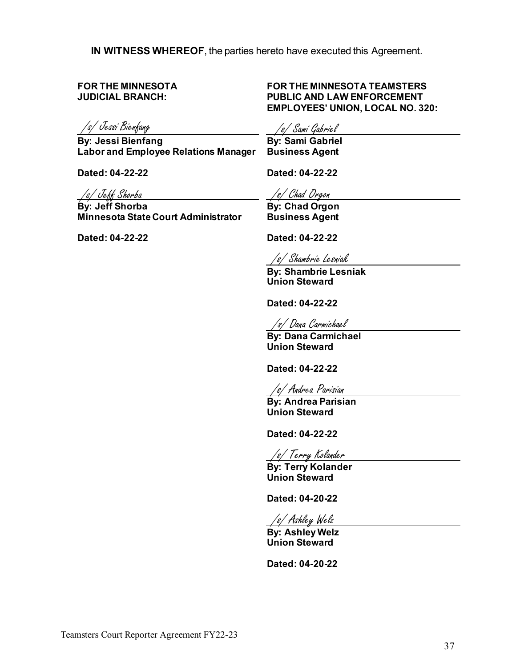**IN WITNESS WHEREOF**, the parties hereto have executed this Agreement.

**FOR THE MINNESOTA JUDICIAL BRANCH:**

/s/ Jessi Bienfang /s/ Sami Gabriel

**By: Jessi Bienfang Labor and Employee Relations Manager Business Agent**

**Dated: 04-22-22** 

 /s/ Jeff Shorba

**By: Jeff Shorba Minnesota State Court Administrator**

**Dated: 04-22-22**

#### **FOR THE MINNESOTA TEAMSTERS PUBLIC AND LAW ENFORCEMENT EMPLOYEES' UNION, LOCAL NO. 320:**

**By: Sami Gabriel**

**Dated: 04-22-22** 

/s/ Chad Orgon

**By: Chad Orgon Business Agent**

**Dated: 04-22-22** 

/s/ Shambrie Lesniak

**By: Shambrie Lesniak Union Steward**

**Dated: 04-22-22**

/s/ Dana Carmichael

**By: Dana Carmichael Union Steward**

**Dated: 04-22-22**

/s/ Andrea Parisian

**By: Andrea Parisian Union Steward**

**Dated: 04-22-22**

/s/ Terry Kolander

**By: Terry Kolander Union Steward**

**Dated: 04-20-22**

/s/ Ashley Welz

**By: Ashley Welz Union Steward**

<span id="page-36-0"></span>**Dated: 04-20-22**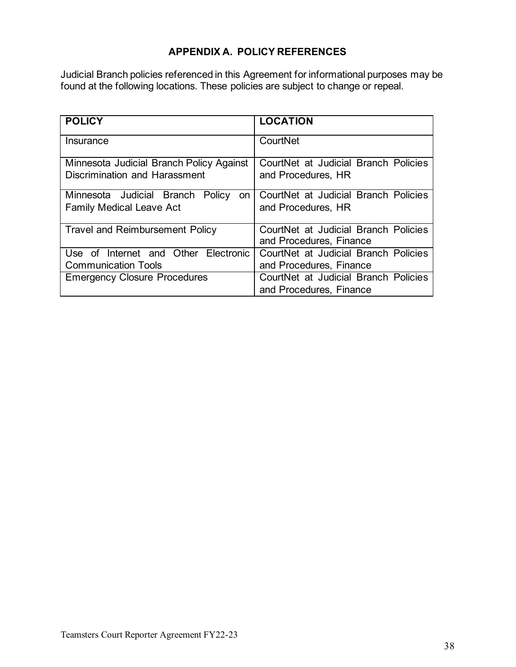## **APPENDIX A. POLICY REFERENCES**

<span id="page-37-0"></span>Judicial Branch policies referenced in this Agreement for informational purposes may be found at the following locations. These policies are subject to change or repeal.

<span id="page-37-1"></span>

| <b>POLICY</b>                                                             | <b>LOCATION</b>                                            |
|---------------------------------------------------------------------------|------------------------------------------------------------|
| Insurance                                                                 | CourtNet                                                   |
| Minnesota Judicial Branch Policy Against<br>Discrimination and Harassment | CourtNet at Judicial Branch Policies<br>and Procedures, HR |
|                                                                           |                                                            |
| Minnesota Judicial Branch Policy<br>on                                    | CourtNet at Judicial Branch Policies                       |
| <b>Family Medical Leave Act</b>                                           | and Procedures, HR                                         |
| <b>Travel and Reimbursement Policy</b>                                    | CourtNet at Judicial Branch Policies                       |
|                                                                           | and Procedures, Finance                                    |
| Use of Internet and Other Electronic                                      | CourtNet at Judicial Branch Policies                       |
| <b>Communication Tools</b>                                                | and Procedures, Finance                                    |
| <b>Emergency Closure Procedures</b>                                       | CourtNet at Judicial Branch Policies                       |
|                                                                           | and Procedures, Finance                                    |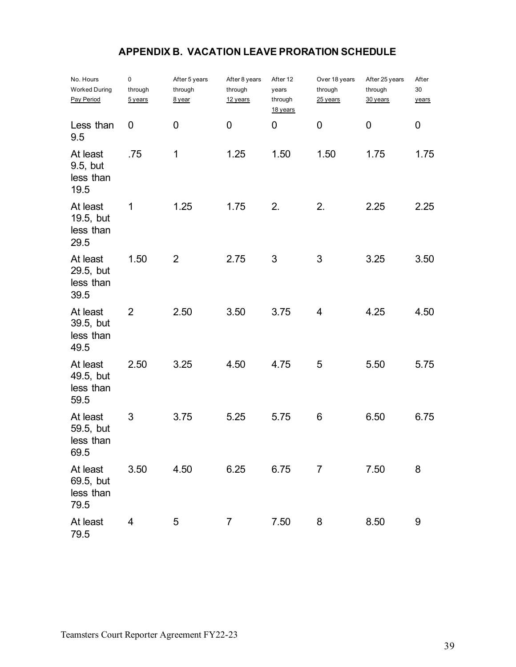# **APPENDIX B. VACATION LEAVE PRORATION SCHEDULE**

<span id="page-38-1"></span><span id="page-38-0"></span>

| No. Hours<br><b>Worked During</b><br>Pay Period | 0<br>through<br><u>5 years</u> | After 5 years<br>through<br>8 year | After 8 years<br>through<br>12 years | After 12<br>years<br>through<br>18 years | Over 18 years<br>through<br>25 years | After 25 years<br>through<br>30 years | After<br>30<br>years |
|-------------------------------------------------|--------------------------------|------------------------------------|--------------------------------------|------------------------------------------|--------------------------------------|---------------------------------------|----------------------|
| Less than<br>9.5                                | 0                              | 0                                  | 0                                    | 0                                        | 0                                    | 0                                     | 0                    |
| At least<br>9.5, but<br>less than<br>19.5       | .75                            | $\mathbf 1$                        | 1.25                                 | 1.50                                     | 1.50                                 | 1.75                                  | 1.75                 |
| At least<br>19.5, but<br>less than<br>29.5      | 1                              | 1.25                               | 1.75                                 | 2.                                       | 2.                                   | 2.25                                  | 2.25                 |
| At least<br>29.5, but<br>less than<br>39.5      | 1.50                           | 2                                  | 2.75                                 | 3                                        | 3                                    | 3.25                                  | 3.50                 |
| At least<br>39.5, but<br>less than<br>49.5      | $\overline{2}$                 | 2.50                               | 3.50                                 | 3.75                                     | 4                                    | 4.25                                  | 4.50                 |
| At least<br>49.5, but<br>less than<br>59.5      | 2.50                           | 3.25                               | 4.50                                 | 4.75                                     | 5                                    | 5.50                                  | 5.75                 |
| At least<br>59.5, but<br>less than<br>69.5      | 3                              | 3.75                               | 5.25                                 | 5.75                                     | 6                                    | 6.50                                  | 6.75                 |
| At least<br>69.5, but<br>less than<br>79.5      | 3.50                           | 4.50                               | 6.25                                 | 6.75                                     | 7                                    | 7.50                                  | 8                    |
| At least<br>79.5                                | 4                              | 5                                  | $\overline{7}$                       | 7.50                                     | 8                                    | 8.50                                  | 9                    |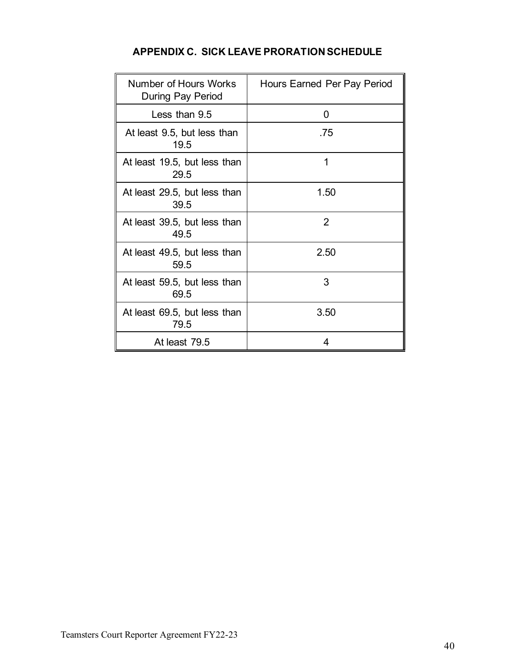|  | <b>APPENDIX C. SICK LEAVE PRORATION SCHEDULE</b> |
|--|--------------------------------------------------|
|--|--------------------------------------------------|

<span id="page-39-1"></span><span id="page-39-0"></span>

| Number of Hours Works<br>During Pay Period | Hours Earned Per Pay Period |
|--------------------------------------------|-----------------------------|
| Less than 9.5                              | 0                           |
| At least 9.5, but less than<br>19.5        | .75                         |
| At least 19.5, but less than<br>29.5       | 1                           |
| At least 29.5, but less than<br>39.5       | 1.50                        |
| At least 39.5, but less than<br>49.5       | 2                           |
| At least 49.5, but less than<br>59.5       | 2.50                        |
| At least 59.5, but less than<br>69.5       | 3                           |
| At least 69.5, but less than<br>79.5       | 3.50                        |
| At least 79.5                              | 4                           |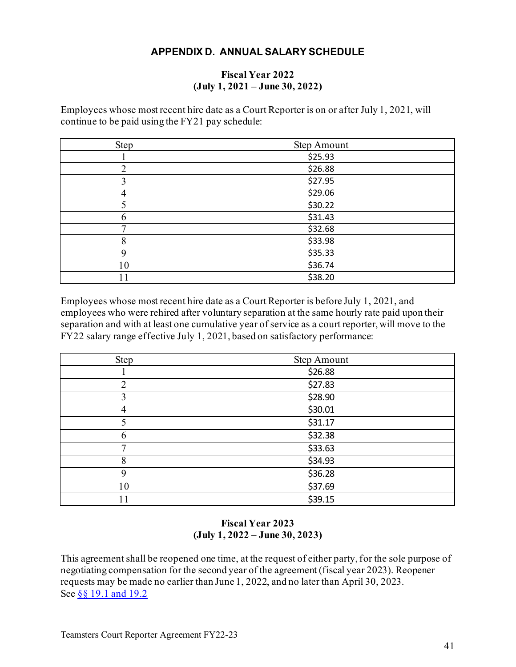## **APPENDIX D. ANNUAL SALARY SCHEDULE**

#### **Fiscal Year 2022 (July 1, 2021 – June 30, 2022)**

<span id="page-40-0"></span>Employees whose most recent hire date as a Court Reporter is on or after July 1, 2021, will continue to be paid using the FY21 pay schedule:

| Step | <b>Step Amount</b> |
|------|--------------------|
|      | \$25.93            |
| ∍    | \$26.88            |
|      | \$27.95            |
| 4    | \$29.06            |
|      | \$30.22            |
|      | \$31.43            |
|      | \$32.68            |
| 8    | \$33.98            |
| q    | \$35.33            |
| 10   | \$36.74            |
|      | \$38.20            |

Employees whose most recent hire date as a Court Reporter is before July 1, 2021, and employees who were rehired after voluntary separation at the same hourly rate paid upon their separation and with at least one cumulative year of service as a court reporter, will move to the FY22 salary range effective July 1, 2021, based on satisfactory performance:

| Step | <b>Step Amount</b> |
|------|--------------------|
|      | \$26.88            |
| 2    | \$27.83            |
| 3    | \$28.90            |
| 4    | \$30.01            |
|      | \$31.17            |
| 6    | \$32.38            |
|      | \$33.63            |
| 8    | \$34.93            |
| 9    | \$36.28            |
| 10   | \$37.69            |
| 11   | \$39.15            |

#### **Fiscal Year 2023 (July 1, 2022 – June 30, 2023)**

<span id="page-40-1"></span>This agreement shall be reopened one time, at the request of either party, for the sole purpose of negotiating compensation for the second year of the agreement (fiscal year 2023). Reopener requests may be made no earlier than June 1, 2022, and no later than April 30, 2023. See [§§ 19.1 and 19.2](#page-27-3)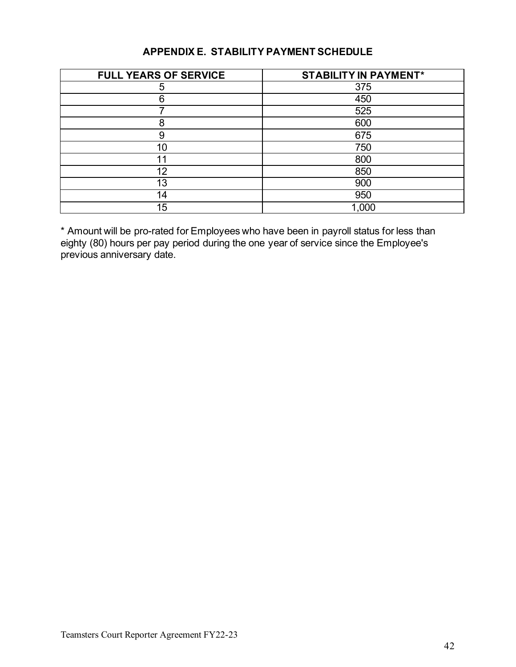## **APPENDIX E. STABILITY PAYMENT SCHEDULE**

<span id="page-41-0"></span>

| <b>FULL YEARS OF SERVICE</b> | <b>STABILITY IN PAYMENT*</b> |
|------------------------------|------------------------------|
| 5                            | 375                          |
| 6                            | 450                          |
|                              | 525                          |
| 8                            | 600                          |
| 9                            | 675                          |
| 10 <sup>°</sup>              | 750                          |
|                              | 800                          |
| 12                           | 850                          |
| 13                           | 900                          |
| 14                           | 950                          |
| 15                           | 1,000                        |

\* Amount will be pro-rated for Employees who have been in payroll status for less than eighty (80) hours per pay period during the one year of service since the Employee's previous anniversary date.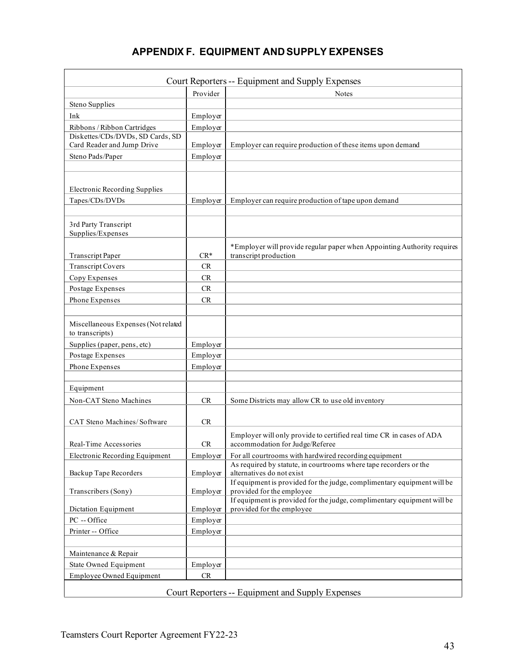# **APPENDIX F. EQUIPMENT AND SUPPLY EXPENSES**

<span id="page-42-0"></span>

|                                                        |           | Court Reporters -- Equipment and Supply Expenses                                                        |  |  |  |
|--------------------------------------------------------|-----------|---------------------------------------------------------------------------------------------------------|--|--|--|
|                                                        | Provider  | <b>Notes</b>                                                                                            |  |  |  |
| Steno Supplies                                         |           |                                                                                                         |  |  |  |
| Ink                                                    | Employer  |                                                                                                         |  |  |  |
| Ribbons / Ribbon Cartridges                            | Employer  |                                                                                                         |  |  |  |
| Diskettes/CDs/DVDs, SD Cards, SD                       |           |                                                                                                         |  |  |  |
| Card Reader and Jump Drive                             | Employer  | Employer can require production of these items upon demand                                              |  |  |  |
| Steno Pads/Paper                                       | Employer  |                                                                                                         |  |  |  |
|                                                        |           |                                                                                                         |  |  |  |
| <b>Electronic Recording Supplies</b>                   |           |                                                                                                         |  |  |  |
| Tapes/CDs/DVDs                                         | Employer  | Employer can require production of tape upon demand                                                     |  |  |  |
|                                                        |           |                                                                                                         |  |  |  |
| 3rd Party Transcript                                   |           |                                                                                                         |  |  |  |
| Supplies/Expenses                                      |           |                                                                                                         |  |  |  |
| <b>Transcript Paper</b>                                | $CR*$     | *Employer will provide regular paper when Appointing Authority requires<br>transcript production        |  |  |  |
| <b>Transcript Covers</b>                               | <b>CR</b> |                                                                                                         |  |  |  |
| Copy Expenses                                          | CR        |                                                                                                         |  |  |  |
| Postage Expenses                                       | <b>CR</b> |                                                                                                         |  |  |  |
| Phone Expenses                                         | CR        |                                                                                                         |  |  |  |
|                                                        |           |                                                                                                         |  |  |  |
| Miscellaneous Expenses (Not related<br>to transcripts) |           |                                                                                                         |  |  |  |
| Supplies (paper, pens, etc)                            | Employer  |                                                                                                         |  |  |  |
| Postage Expenses                                       | Employer  |                                                                                                         |  |  |  |
| Phone Expenses                                         | Employer  |                                                                                                         |  |  |  |
|                                                        |           |                                                                                                         |  |  |  |
| Equipment                                              |           |                                                                                                         |  |  |  |
| Non-CAT Steno Machines                                 | <b>CR</b> | Some Districts may allow CR to use old inventory                                                        |  |  |  |
| CAT Steno Machines/Software                            | CR        |                                                                                                         |  |  |  |
| Real-Time Accessories                                  | <b>CR</b> | Employer will only provide to certified real time CR in cases of ADA<br>accommodation for Judge/Referee |  |  |  |
| <b>Electronic Recording Equipment</b>                  | Employer  | For all courtrooms with hardwired recording equipment                                                   |  |  |  |
|                                                        |           | As required by statute, in courtrooms where tape recorders or the                                       |  |  |  |
| <b>Backup Tape Recorders</b>                           | Employer  | alternatives do not exist<br>If equipment is provided for the judge, complimentary equipment will be    |  |  |  |
| Transcribers (Sony)                                    | Employer  | provided for the employee                                                                               |  |  |  |
| Dictation Equipment                                    | Employer  | If equipment is provided for the judge, complimentary equipment will be<br>provided for the employee    |  |  |  |
| PC -- Office                                           | Employer  |                                                                                                         |  |  |  |
| Printer-- Office                                       | Employer  |                                                                                                         |  |  |  |
|                                                        |           |                                                                                                         |  |  |  |
| Maintenance & Repair                                   |           |                                                                                                         |  |  |  |
| <b>State Owned Equipment</b>                           | Employer  |                                                                                                         |  |  |  |
| <b>Employee Owned Equipment</b>                        | CR        |                                                                                                         |  |  |  |
|                                                        |           |                                                                                                         |  |  |  |
| Court Reporters -- Equipment and Supply Expenses       |           |                                                                                                         |  |  |  |